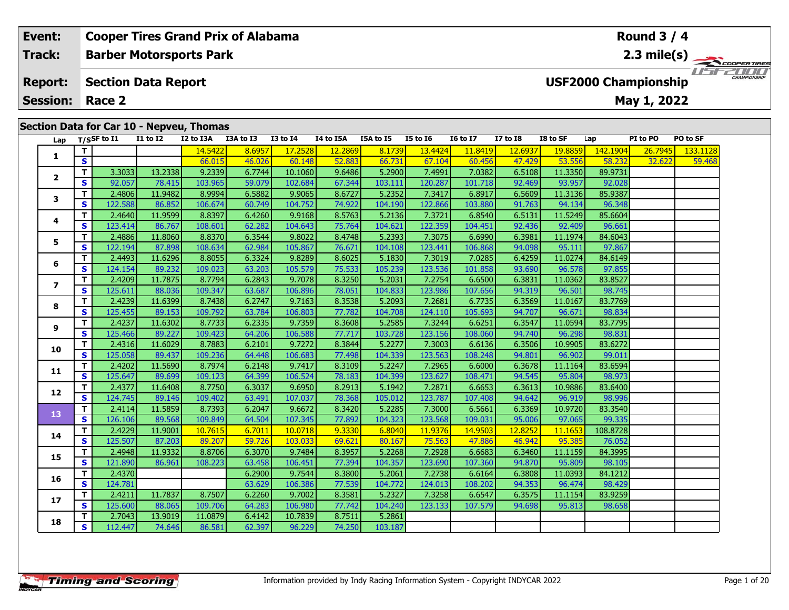|   | Event:                            |            |                | <b>Cooper Tires Grand Prix of Alabama</b> |           |                |                   |           |           |                 |                 |                 |                |          | <b>Round 3 / 4</b>                         |          |                     |
|---|-----------------------------------|------------|----------------|-------------------------------------------|-----------|----------------|-------------------|-----------|-----------|-----------------|-----------------|-----------------|----------------|----------|--------------------------------------------|----------|---------------------|
|   | Track:                            |            |                | <b>Barber Motorsports Park</b>            |           |                |                   |           |           |                 |                 |                 |                |          | 2.3 mile(s) $-$                            |          | COOPERTIRES         |
|   | <b>Report:</b><br><b>Session:</b> |            | Race 2         | <b>Section Data Report</b>                |           |                |                   |           |           |                 |                 |                 |                |          | <b>USF2000 Championship</b><br>May 1, 2022 |          | <b>CHAMPIONSHIP</b> |
|   |                                   |            |                | Section Data for Car 10 - Nepveu, Thomas  |           |                |                   |           |           |                 |                 |                 |                |          |                                            |          |                     |
|   | Lap                               |            | $T/S$ SF to I1 | <b>I1 to I2</b>                           | I2 to I3A | I3A to I3      | <b>I3 to I4</b>   | I4 to I5A | I5A to I5 | <b>I5 to 16</b> | <b>16 to 17</b> | I7 to $I8$      | I8 to SF       | Lap      | PI to PO                                   | PO to SF |                     |
|   |                                   |            |                |                                           | 14.5422   | 8.6957         | 17.2528           | 12.2869   | 8.1739    | 13.4424         | 11.8419         | 12.6937         | 19.8859        | 142.1904 | 26.7945                                    | 133.1128 |                     |
| S |                                   |            | 66.015         | 46.026                                    | 60.148    | 52.883         | 66.731            | 67.104    | 60.456    | 47.429          | 53.556          | 58.232          | 32.622         | 59.468   |                                            |          |                     |
|   |                                   |            | 3.3033         | 13.2338                                   | 9.2339    | 6.7744         | 10.1060           | 9.6486    | 5.2900    | 7.4991          | 7.0382          | 6.5108          | 11.3350        | 89.9731  |                                            |          |                     |
|   |                                   | $\epsilon$ | 0205           | <b>70 415</b>                             | 10200     | <b>EQ 070L</b> | $102 \text{ rad}$ | $C$ 244   | 102111    | 12022           | 101.710         | no <i>sco</i> l | <b>AD AFTL</b> | no nool  |                                            |          |                     |

|                         |          |         |         | 14.5422 | 8.6957 | 17.2528 | <u>12.2869</u> | 8.1739  | <u>13.4424</u> | <u>11.8419</u> | 12.6937 | <u>19.8859</u> | <u>142.1904</u> | 26.7945 | <u>133.1128</u> |
|-------------------------|----------|---------|---------|---------|--------|---------|----------------|---------|----------------|----------------|---------|----------------|-----------------|---------|-----------------|
| 1                       | S        |         |         | 66.015  | 46.026 | 60.148  | 52.883         | 66.731  | 67.104         | 60.456         | 47.429  | 53.556         | 58.232          | 32.622  | 59.46           |
| $\mathbf{2}$            | T.       | 3.3033  | 13.2338 | 9.2339  | 6.7744 | 10.1060 | 9.6486         | 5.2900  | 7.4991         | 7.0382         | 6.5108  | 11.3350        | 89.9731         |         |                 |
|                         | S.       | 92.057  | 78.415  | 103.965 | 59.079 | 102.684 | 67.344         | 103.111 | 120.287        | 101.718        | 92.469  | 93.957         | 92.028          |         |                 |
|                         | T.       | 2.4806  | 11.9482 | 8.9994  | 6.5882 | 9.9065  | 8.6727         | 5.2352  | 7.3417         | 6.8917         | 6.5609  | 11.3136        | 85.9387         |         |                 |
| 3                       | S        | 122.588 | 86.852  | 106.674 | 60.749 | 104.752 | 74.922         | 104.190 | 122.866        | 103.880        | 91.763  | 94.134         | 96.348          |         |                 |
|                         | T.       | 2.4640  | 11.9599 | 8.8397  | 6.4260 | 9.9168  | 8.5763         | 5.2136  | 7.3721         | 6.8540         | 6.5131  | 11.5249        | 85.6604         |         |                 |
| 4                       | S        | 123.414 | 86.767  | 108.601 | 62.282 | 104.643 | 75.764         | 104.621 | 122.359        | 104.451        | 92.436  | 92.409         | 96.661          |         |                 |
| 5                       | T.       | 2.4886  | 11.8060 | 8.8370  | 6.3544 | 9.8022  | 8.4748         | 5.2393  | 7.3075         | 6.6990         | 6.3981  | 11.1974        | 84.6043         |         |                 |
|                         | S        | 122.194 | 87.898  | 108.634 | 62.984 | 105.867 | 76.671         | 104.108 | 123.441        | 106.868        | 94.098  | 95.111         | 97.867          |         |                 |
|                         | T.       | 2.4493  | 11.6296 | 8.8055  | 6.3324 | 9.8289  | 8.6025         | 5.1830  | 7.3019         | 7.0285         | 6.4259  | 11.0274        | 84.6149         |         |                 |
| 6                       | S        | 124.154 | 89.232  | 109.023 | 63.203 | 105.579 | 75.533         | 105.239 | 123.536        | 101.858        | 93.690  | 96.578         | 97.855          |         |                 |
|                         | T        | 2.4209  | 11.7875 | 8.7794  | 6.2843 | 9.7078  | 8.3250         | 5.2031  | 7.2754         | 6.6500         | 6.3831  | 11.0362        | 83.8527         |         |                 |
| $\overline{\mathbf{z}}$ | S        | 125.611 | 88.036  | 109.347 | 63.687 | 106.896 | 78.051         | 104.833 | 123.986        | 107.656        | 94.319  | 96.501         | 98.745          |         |                 |
| 8                       | T.       | 2.4239  | 11.6399 | 8.7438  | 6.2747 | 9.7163  | 8.3538         | 5.2093  | 7.2681         | 6.7735         | 6.3569  | 11.0167        | 83.7769         |         |                 |
|                         | S        | 125.455 | 89.153  | 109.792 | 63.784 | 106.803 | 77.782         | 104.708 | 124.110        | 105.693        | 94.707  | 96.671         | 98.834          |         |                 |
|                         | т        | 2.4237  | 11.6302 | 8.7733  | 6.2335 | 9.7359  | 8.3608         | 5.2585  | 7.3244         | 6.6251         | 6.3547  | 11.0594        | 83.7795         |         |                 |
| 9                       | S        | 125.466 | 89.227  | 109.423 | 64.206 | 106.588 | 77.717         | 103.728 | 123.156        | 108.060        | 94.740  | 96.298         | 98.831          |         |                 |
|                         | T.       | 2.4316  | 11.6029 | 8.7883  | 6.2101 | 9.7272  | 8.3844         | 5.2277  | 7.3003         | 6.6136         | 6.3506  | 10.9905        | 83.6272         |         |                 |
| 10                      | S.       | 125.058 | 89.437  | 109.236 | 64.448 | 106.683 | 77.498         | 104.339 | 123.563        | 108.248        | 94.801  | 96.902         | 99.011          |         |                 |
|                         | T.       | 2.4202  | 11.5690 | 8.7974  | 6.2148 | 9.7417  | 8.3109         | 5.2247  | 7.2965         | 6.6000         | 6.3678  | 11.1164        | 83.6594         |         |                 |
| 11                      | S        | 125.647 | 89.699  | 109.123 | 64.399 | 106.524 | 78.183         | 104.399 | 123.627        | 108.471        | 94.545  | 95.804         | 98.973          |         |                 |
|                         | T.       | 2.4377  | 11.6408 | 8.7750  | 6.3037 | 9.6950  | 8.2913         | 5.1942  | 7.2871         | 6.6653         | 6.3613  | 10.9886        | 83.6400         |         |                 |
| 12                      | S        | 124.745 | 89.146  | 109.402 | 63.491 | 107.037 | 78.368         | 105.012 | 123.787        | 107.408        | 94.642  | 96.919         | 98.996          |         |                 |
| 13                      | T.       | 2.4114  | 11.5859 | 8.7393  | 6.2047 | 9.6672  | 8.3420         | 5.2285  | 7.3000         | 6.5661         | 6.3369  | 10.9720        | 83.3540         |         |                 |
|                         | S.       | 126.106 | 89.568  | 109.849 | 64.504 | 107.345 | 77.892         | 104.323 | 123.568        | 109.031        | 95.006  | 97.065         | 99.335          |         |                 |
| 14                      | T.       | 2.4229  | 11.9001 | 10.7615 | 6.7011 | 10.0718 | 9.3330         | 6.8040  | 11.9376        | 14.9503        | 12.8252 | 11.1653        | 108.8728        |         |                 |
|                         | S        | 125.507 | 87.203  | 89.207  | 59.726 | 103.033 | 69.621         | 80.167  | 75.563         | 47.886         | 46.942  | 95.385         | 76.052          |         |                 |
| 15                      | Τ.       | 2.4948  | 11.9332 | 8.8706  | 6.3070 | 9.7484  | 8.3957         | 5.2268  | 7.2928         | 6.6683         | 6.3460  | 11.1159        | 84.3995         |         |                 |
|                         | S        | 121.890 | 86.961  | 108.223 | 63.458 | 106.451 | 77.394         | 104.357 | 123.690        | 107.360        | 94.870  | 95.809         | 98.105          |         |                 |
| 16                      | T.       | 2.4370  |         |         | 6.2900 | 9.7544  | 8.3800         | 5.2061  | 7.2738         | 6.6164         | 6.3808  | 11.0393        | 84.1212         |         |                 |
|                         | S        | 124.781 |         |         | 63.629 | 106.386 | 77.539         | 104.772 | 124.013        | 108.202        | 94.353  | 96.474         | 98.429          |         |                 |
| 17                      | T.       | 2.4211  | 11.7837 | 8.7507  | 6.2260 | 9.7002  | 8.3581         | 5.2327  | 7.3258         | 6.6547         | 6.3575  | 11.1154        | 83.9259         |         |                 |
|                         | S        | 125.600 | 88.065  | 109.706 | 64.283 | 106.980 | 77.742         | 104.240 | 123.133        | 107.579        | 94.698  | 95.813         | 98.658          |         |                 |
| 18                      | т        | 2.7043  | 13.9019 | 11.0879 | 6.4142 | 10.7839 | 8.7511         | 5.2861  |                |                |         |                |                 |         |                 |
|                         | <b>S</b> | 112.447 | 74.646  | 86.581  | 62.397 | 96.229  | 74.250         | 103.187 |                |                |         |                |                 |         |                 |

Г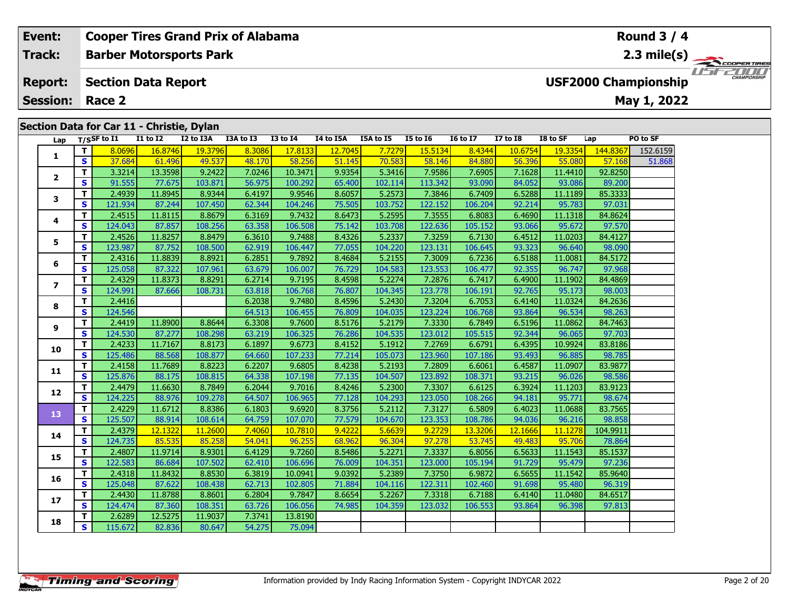#### **Event: Round 3 / 4 Cooper Tires Grand Prix of Alabama Track:Barber Motorsports Park 2.3 mile(s)** *IFFERINI* **Report: Section Data Report USF2000 Championship May 1, 2022 Session: Race 2 Section Data for Car 11 - Christie, Dylan Lap T/SSF to I1 I1 to I2 I2 to I3A I3A to I3 I3 to I4 I4 to I5A I5A to I5 I5 to I6 I6 to I7 I7 to I8 I8 to SF Lap PO to SF <sup>T</sup>** 8.0696 16.8746 19.3796 8.3086 17.8133 12.7045 7.7279 15.5134 8.4344 10.6754 19.3354 144.8367 152.6159 **<sup>S</sup>** 37.684 61.496 49.537 48.170 58.256 51.145 70.583 58.146 84.880 56.396 55.080 57.168 51.868**1 <sup>T</sup>** 3.3214 13.3598 9.2422 7.0246 10.3471 9.9354 5.3416 7.9586 7.6905 7.1628 11.4410 92.8250 **<sup>S</sup>** 91.555 77.675 103.871 56.975 100.292 65.400 102.114 113.342 93.090 84.052 93.086 89.200**2**

| 3              | т            | 2.4939  | 11.8945 | 8.9344  | 6.4197 | 9.9546  | 8.6057 | 5.2573  | 7.3846  | 6.7409  | 6.5288  | 11.1189 | 85.3333  |  |
|----------------|--------------|---------|---------|---------|--------|---------|--------|---------|---------|---------|---------|---------|----------|--|
|                | S            | 121.934 | 87.244  | 107.450 | 62.344 | 104.246 | 75.505 | 103.752 | 122.152 | 106.204 | 92.214  | 95.783  | 97.031   |  |
| 4              | T            | 2.4515  | 11.8115 | 8.8679  | 6.3169 | 9.7432  | 8.6473 | 5.2595  | 7.3555  | 6.8083  | 6.4690  | 11.1318 | 84.8624  |  |
|                | S            | 124.043 | 87.857  | 108.256 | 63.358 | 106.508 | 75.142 | 103.708 | 122.636 | 105.152 | 93.066  | 95.672  | 97.570   |  |
| 5              | т            | 2.4526  | 11.8257 | 8.8479  | 6.3610 | 9.7488  | 8.4326 | 5.2337  | 7.3259  | 6.7130  | 6.4512  | 11.0203 | 84.4127  |  |
|                | $\mathbf{s}$ | 123.987 | 87.752  | 108.500 | 62.919 | 106.447 | 77.055 | 104.220 | 123.131 | 106.645 | 93.323  | 96.640  | 98.090   |  |
| 6              | т            | 2.4316  | 11.8839 | 8.8921  | 6.2851 | 9.7892  | 8.4684 | 5.2155  | 7.3009  | 6.7236  | 6.5188  | 11.0081 | 84.5172  |  |
|                | S            | 125.058 | 87.322  | 107.961 | 63.679 | 106.007 | 76.729 | 104.583 | 123.553 | 106.477 | 92.355  | 96.747  | 97.968   |  |
| $\overline{ }$ | T            | 2.4329  | 11.8373 | 8.8291  | 6.2714 | 9.7195  | 8.4598 | 5.2274  | 7.2876  | 6.7417  | 6.4900  | 11.1902 | 84.4869  |  |
|                | S            | 124.991 | 87.666  | 108.731 | 63.818 | 106.768 | 76.807 | 104.345 | 123.778 | 106.191 | 92.765  | 95.173  | 98.003   |  |
| 8              | T.           | 2.4416  |         |         | 6.2038 | 9.7480  | 8.4596 | 5.2430  | 7.3204  | 6.7053  | 6.4140  | 11.0324 | 84.2636  |  |
|                | $\mathbf{s}$ | 124.546 |         |         | 64.513 | 106.455 | 76.809 | 104.035 | 123.224 | 106.768 | 93.864  | 96.534  | 98.263   |  |
| 9              | т            | 2.4419  | 11.8900 | 8.8644  | 6.3308 | 9.7600  | 8.5176 | 5.2179  | 7.3330  | 6.7849  | 6.5196  | 11.0862 | 84.7463  |  |
|                | $\mathbf{s}$ | 124.530 | 87.277  | 108.298 | 63.219 | 106.325 | 76.286 | 104.535 | 123.012 | 105.515 | 92.344  | 96.065  | 97.703   |  |
| 10             | T.           | 2.4233  | 11.7167 | 8.8173  | 6.1897 | 9.6773  | 8.4152 | 5.1912  | 7.2769  | 6.6791  | 6.4395  | 10.9924 | 83.8186  |  |
|                | $\mathbf{s}$ | 125.486 | 88.568  | 108.877 | 64.660 | 107.233 | 77.214 | 105.073 | 123.960 | 107.186 | 93.493  | 96.885  | 98.785   |  |
| 11             | T.           | 2.4158  | 11.7689 | 8.8223  | 6.2207 | 9.6805  | 8.4238 | 5.2193  | 7.2809  | 6.6061  | 6.4587  | 11.0907 | 83.9877  |  |
|                | $\mathbf{s}$ | 125.876 | 88.175  | 108.815 | 64.338 | 107.198 | 77.135 | 104.507 | 123.892 | 108.371 | 93.215  | 96.026  | 98.586   |  |
| 12             | т            | 2.4479  | 11.6630 | 8.7849  | 6.2044 | 9.7016  | 8.4246 | 5.2300  | 7.3307  | 6.6125  | 6.3924  | 11.1203 | 83.9123  |  |
|                | $\mathbf{s}$ | 124.225 | 88.976  | 109.278 | 64.507 | 106.965 | 77.128 | 104.293 | 123.050 | 108.266 | 94.181  | 95.771  | 98.674   |  |
| 13             | T.           | 2.4229  | 11.6712 | 8.8386  | 6.1803 | 9.6920  | 8.3756 | 5.2112  | 7.3127  | 6.5809  | 6.4023  | 11.0688 | 83.7565  |  |
|                | $\mathbf{s}$ | 125.507 | 88.914  | 108.614 | 64.759 | 107.070 | 77.579 | 104.670 | 123.353 | 108.786 | 94.036  | 96.216  | 98.858   |  |
| 14             | т            | 2.4379  | 12.1322 | 11.2600 | 7.4060 | 10.7810 | 9.4222 | 5.6639  | 9.2729  | 13.3206 | 12.1666 | 11.1278 | 104.9911 |  |
|                | $\mathbf{s}$ | 124.735 | 85.535  | 85.258  | 54.041 | 96.255  | 68.962 | 96.304  | 97.278  | 53.745  | 49.483  | 95.706  | 78.864   |  |
| 15             | т            | 2.4807  | 11.9714 | 8.9301  | 6.4129 | 9.7260  | 8.5486 | 5.2271  | 7.3337  | 6.8056  | 6.5633  | 11.1543 | 85.1537  |  |
|                | S            | 122.583 | 86.684  | 107.502 | 62.410 | 106.696 | 76.009 | 104.351 | 123.000 | 105.194 | 91.729  | 95.479  | 97.236   |  |
| 16             | т            | 2.4318  | 11.8432 | 8.8530  | 6.3819 | 10.0941 | 9.0392 | 5.2389  | 7.3750  | 6.9872  | 6.5655  | 11.1542 | 85.9640  |  |
|                | $\mathbf{s}$ | 125.048 | 87.622  | 108.438 | 62.713 | 102.805 | 71.884 | 104.116 | 122.311 | 102.460 | 91.698  | 95.480  | 96.319   |  |
| 17             | т            | 2.4430  | 11.8788 | 8.8601  | 6.2804 | 9.7847  | 8.6654 | 5.2267  | 7.3318  | 6.7188  | 6.4140  | 11.0480 | 84.6517  |  |
|                | $\mathbf{s}$ | 124.474 | 87.360  | 108.351 | 63.726 | 106.056 | 74.985 | 104.359 | 123.032 | 106.553 | 93.864  | 96.398  | 97.813   |  |
| 18             | т            | 2.6289  | 12.5275 | 11.9037 | 7.3741 | 13.8190 |        |         |         |         |         |         |          |  |
|                | S            | 115.672 | 82.836  | 80.647  | 54.275 | 75.094  |        |         |         |         |         |         |          |  |

89.200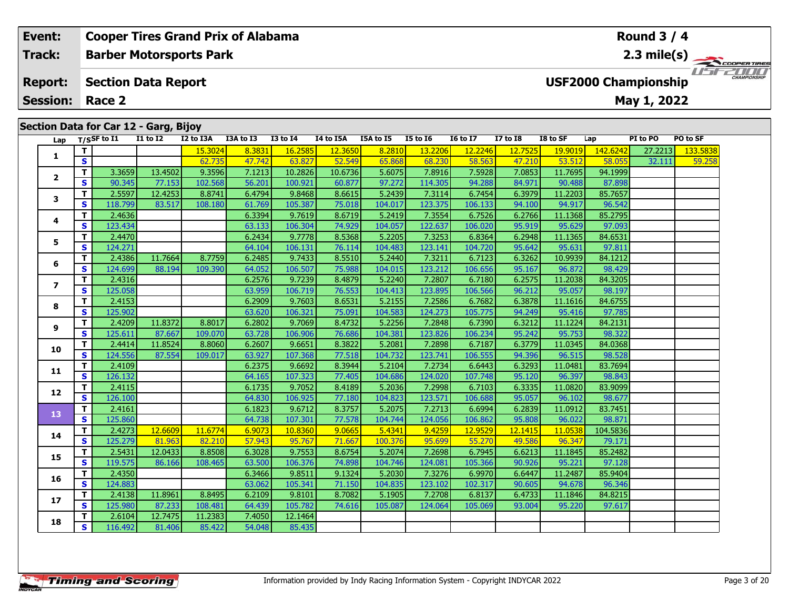# Lap T/S<sup>SF</sup> to I1 I1 to I2 I2 to I3A I3A to I3 I3 to I4 I4 to I5A I5A to I5 I5 to I6 I6 to I7 I7 to I8 I8 to SF Lap PI to PO PO to SF **1 <sup>T</sup>** 15.3024 8.3831 16.2585 12.3650 8.2810 13.2206 12.2246 12.7525 19.9019 142.6242 27.2213 133.5838 **<sup>S</sup>** 62.735 47.742 63.827 52.549 65.868 68.230 58.563 47.210 53.512 58.055 32.111 59.258 **<sup>T</sup>** 3.3659 13.4502 9.3596 7.1213 10.2826 10.6736 5.6075 7.8916 7.5928 7.0853 11.7695 94.1999 **<sup>S</sup>** 90.345 77.153 102.568 56.201 100.921 60.877 97.272 114.305 94.288 84.971 90.488 87.898**Section Data for Car 12 - Garg, Bijoy Barber Motorsports Park Section Data Report May 1, 2022 Event: Cooper Tires Grand Prix of Alabama Track:Report: Session: Race 2 USF2000 Championship 2.3 mile(s) Round 3 / 4**

|                | T.                      | 2.5597  | 12.4253 | 8.8741  | 6.4794 | 9.8468  | 8.6615 | 5.2439  | 7.3114  | 6.7454  | 6.3979  | 11.2203 | 85.7657  |  |
|----------------|-------------------------|---------|---------|---------|--------|---------|--------|---------|---------|---------|---------|---------|----------|--|
| 3              | S                       | 118.799 | 83.517  | 108.180 | 61.769 | 105.387 | 75.018 | 104.017 | 123.375 | 106.133 | 94.100  | 94.917  | 96.542   |  |
|                | T.                      | 2.4636  |         |         | 6.3394 | 9.7619  | 8.6719 | 5.2419  | 7.3554  | 6.7526  | 6.2766  | 11.1368 | 85.2795  |  |
| 4              | S                       | 123.434 |         |         | 63.133 | 106.304 | 74.929 | 104.057 | 122.637 | 106.020 | 95.919  | 95.629  | 97.093   |  |
| 5              | T.                      | 2.4470  |         |         | 6.2434 | 9.7778  | 8.5368 | 5.2205  | 7.3253  | 6.8364  | 6.2948  | 11.1365 | 84.6531  |  |
|                | S                       | 124.271 |         |         | 64.104 | 106.131 | 76.114 | 104.483 | 123.141 | 104.720 | 95.642  | 95.631  | 97.811   |  |
| 6              | T.                      | 2.4386  | 11.7664 | 8.7759  | 6.2485 | 9.7433  | 8.5510 | 5.2440  | 7.3211  | 6.7123  | 6.3262  | 10.9939 | 84.1212  |  |
|                | $\overline{\mathbf{s}}$ | 124.699 | 88.194  | 109.390 | 64.052 | 106.507 | 75.988 | 104.015 | 123.212 | 106.656 | 95.167  | 96.872  | 98.429   |  |
| $\overline{ }$ | T.                      | 2.4316  |         |         | 6.2576 | 9.7239  | 8.4879 | 5.2240  | 7.2807  | 6.7180  | 6.2575  | 11.2038 | 84.3205  |  |
|                | S                       | 125.058 |         |         | 63.959 | 106.719 | 76.553 | 104.413 | 123.895 | 106.566 | 96.212  | 95.057  | 98.197   |  |
| 8              | T.                      | 2.4153  |         |         | 6.2909 | 9.7603  | 8.6531 | 5.2155  | 7.2586  | 6.7682  | 6.3878  | 11.1616 | 84.6755  |  |
|                | S                       | 125.902 |         |         | 63.620 | 106.321 | 75.091 | 104.583 | 124.273 | 105.775 | 94.249  | 95.416  | 97.785   |  |
| 9              | T.                      | 2.4209  | 11.8372 | 8.8017  | 6.2802 | 9.7069  | 8.4732 | 5.2256  | 7.2848  | 6.7390  | 6.3212  | 11.1224 | 84.2131  |  |
|                | S                       | 125.611 | 87.667  | 109.070 | 63.728 | 106.906 | 76.686 | 104.381 | 123.826 | 106.234 | 95.242  | 95.753  | 98.322   |  |
| 10             | T.                      | 2.4414  | 11.8524 | 8.8060  | 6.2607 | 9.6651  | 8.3822 | 5.2081  | 7.2898  | 6.7187  | 6.3779  | 11.0345 | 84.0368  |  |
|                | S                       | 124.556 | 87.554  | 109.017 | 63.927 | 107.368 | 77.518 | 104.732 | 123.741 | 106.555 | 94.396  | 96.515  | 98.528   |  |
| 11             | T.                      | 2.4109  |         |         | 6.2375 | 9.6692  | 8.3944 | 5.2104  | 7.2734  | 6.6443  | 6.3293  | 11.0481 | 83.7694  |  |
|                | S                       | 126.132 |         |         | 64.165 | 107.323 | 77.405 | 104.686 | 124.020 | 107.748 | 95.120  | 96.397  | 98.843   |  |
| 12             | T.                      | 2.4115  |         |         | 6.1735 | 9.7052  | 8.4189 | 5.2036  | 7.2998  | 6.7103  | 6.3335  | 11.0820 | 83.9099  |  |
|                | S                       | 126.100 |         |         | 64.830 | 106.925 | 77.180 | 104.823 | 123.571 | 106.688 | 95.057  | 96.102  | 98.677   |  |
| 13             | T.                      | 2.4161  |         |         | 6.1823 | 9.6712  | 8.3757 | 5.2075  | 7.2713  | 6.6994  | 6.2839  | 11.0912 | 83.7451  |  |
|                | S                       | 125.860 |         |         | 64.738 | 107.301 | 77.578 | 104.744 | 124.056 | 106.862 | 95.808  | 96.022  | 98.871   |  |
| 14             | T.                      | 2.4273  | 12.6609 | 11.6774 | 6.9073 | 10.8360 | 9.0665 | 5.4341  | 9.4259  | 12.9529 | 12.1415 | 11.0538 | 104.5836 |  |
|                | S                       | 125.279 | 81.963  | 82.210  | 57.943 | 95.767  | 71.667 | 100.376 | 95.699  | 55.270  | 49.586  | 96.347  | 79.171   |  |
| 15             | T.                      | 2.5431  | 12.0433 | 8.8508  | 6.3028 | 9.7553  | 8.6754 | 5.2074  | 7.2698  | 6.7945  | 6.6213  | 11.1845 | 85.2482  |  |
|                | S                       | 119.575 | 86.166  | 108.465 | 63.500 | 106.376 | 74.898 | 104.746 | 124.081 | 105.366 | 90.926  | 95.221  | 97.128   |  |
| 16             | T.                      | 2.4350  |         |         | 6.3466 | 9.8511  | 9.1324 | 5.2030  | 7.3276  | 6.9970  | 6.6447  | 11.2487 | 85.9404  |  |
|                | S                       | 124.883 |         |         | 63.062 | 105.341 | 71.150 | 104.835 | 123.102 | 102.317 | 90.605  | 94.678  | 96.346   |  |
| 17             | T.                      | 2.4138  | 11.8961 | 8.8495  | 6.2109 | 9.8101  | 8.7082 | 5.1905  | 7.2708  | 6.8137  | 6.4733  | 11.1846 | 84.8215  |  |
|                | S.                      | 125.980 | 87.233  | 108.481 | 64.439 | 105.782 | 74.616 | 105.087 | 124.064 | 105.069 | 93.004  | 95.220  | 97.617   |  |
| 18             | T.                      | 2.6104  | 12.7475 | 11.2383 | 7.4050 | 12.1464 |        |         |         |         |         |         |          |  |
|                | $\mathbf{s}$            | 116.492 | 81.406  | 85.422  | 54.048 | 85.435  |        |         |         |         |         |         |          |  |

**2**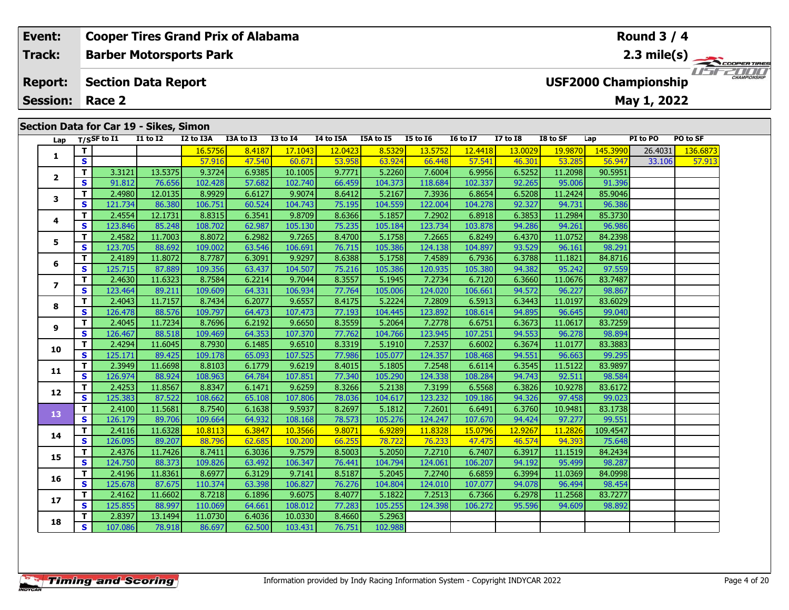# **Event: Cooper Tires Grand Prix of Alabama Round 3 / 42.3 mile(s) Barber Motorsports Park Track:** *IFFERINI* **USF2000 Championship Report: Section Data Report May 1, 2022 Session: Race 2 Section Data for Car 19 - Sikes, Simon** Lap T/S<sup>SF</sup> to I1 I1 to I2 I2 to I3A I3A to I3 I3 to I4 I4 to I5A I5A to I5 I5 to I6 I6 to I7 I7 to I8 I8 to SF Lap PI to PO PO to SF **<sup>T</sup>** 16.5756 8.4187 17.1043 12.0423 8.5329 13.5752 12.4418 13.0029 19.9870 145.3990 26.4031 136.6873 **<sup>S</sup>** 57.916 47.540 60.671 53.958 63.924 66.448 57.541 46.301 53.285 56.947 33.106 57.913**1**

| 1              | T.           |         |         | 16.5756 | 8.4187 | 17.1043 | 12.0423 | 8.5329  | 13.5752 | 12.4418 | 13.0029 | 19.9870 | 145.3990 | 26.4031 | 136.6873 |
|----------------|--------------|---------|---------|---------|--------|---------|---------|---------|---------|---------|---------|---------|----------|---------|----------|
|                | S            |         |         | 57.916  | 47.540 | 60.671  | 53.958  | 63.924  | 66.448  | 57.541  | 46.301  | 53.285  | 56.947   | 33.106  | 57.913   |
| 2              | T.           | 3.3121  | 13.5375 | 9.3724  | 6.9385 | 10.1005 | 9.7771  | 5.2260  | 7.6004  | 6.9956  | 6.5252  | 11.2098 | 90.5951  |         |          |
|                | S            | 91.812  | 76.656  | 102.428 | 57.682 | 102.740 | 66.459  | 104.373 | 118.684 | 102.337 | 92.265  | 95.006  | 91.396   |         |          |
| 3              | T.           | 2.4980  | 12.0135 | 8.9929  | 6.6127 | 9.9074  | 8.6412  | 5.2167  | 7.3936  | 6.8654  | 6.5208  | 11.2424 | 85.9046  |         |          |
|                | S            | 121.734 | 86.380  | 106.751 | 60.524 | 104.743 | 75.195  | 104.559 | 122.004 | 104.278 | 92.327  | 94.731  | 96.386   |         |          |
| 4              | T.           | 2.4554  | 12.1731 | 8.8315  | 6.3541 | 9.8709  | 8.6366  | 5.1857  | 7.2902  | 6.8918  | 6.3853  | 11.2984 | 85.3730  |         |          |
|                | S            | 123.846 | 85.248  | 108.702 | 62.987 | 105.130 | 75.235  | 105.184 | 123.734 | 103.878 | 94.286  | 94.261  | 96.986   |         |          |
| 5              | T.           | 2.4582  | 11.7003 | 8.8072  | 6.2982 | 9.7265  | 8.4700  | 5.1758  | 7.2665  | 6.8249  | 6.4370  | 11.0752 | 84.2398  |         |          |
|                | S            | 123.705 | 88.692  | 109.002 | 63.546 | 106.691 | 76.715  | 105.386 | 124.138 | 104.897 | 93.529  | 96.161  | 98.291   |         |          |
| 6              | T.           | 2.4189  | 11.8072 | 8.7787  | 6.3091 | 9.9297  | 8.6388  | 5.1758  | 7.4589  | 6.7936  | 6.3788  | 11.1821 | 84.8716  |         |          |
|                | S            | 125.715 | 87.889  | 109.356 | 63.437 | 104.507 | 75.216  | 105.386 | 120.935 | 105.380 | 94.382  | 95.242  | 97.559   |         |          |
| $\overline{ }$ | T.           | 2.4630  | 11.6323 | 8.7584  | 6.2214 | 9.7044  | 8.3557  | 5.1945  | 7.2734  | 6.7120  | 6.3660  | 11.0676 | 83.7487  |         |          |
|                | S            | 123.464 | 89.211  | 109.609 | 64.331 | 106.934 | 77.764  | 105.006 | 124.020 | 106.661 | 94.572  | 96.227  | 98.867   |         |          |
| 8              | T.           | 2.4043  | 11.7157 | 8.7434  | 6.2077 | 9.6557  | 8.4175  | 5.2224  | 7.2809  | 6.5913  | 6.3443  | 11.0197 | 83.6029  |         |          |
|                | S            | 126.478 | 88.576  | 109.797 | 64.473 | 107.473 | 77.193  | 104.445 | 123.892 | 108.614 | 94.895  | 96.645  | 99.040   |         |          |
| 9              | T.           | 2.4045  | 11.7234 | 8.7696  | 6.2192 | 9.6650  | 8.3559  | 5.2064  | 7.2778  | 6.6751  | 6.3673  | 11.0617 | 83.7259  |         |          |
|                | S.           | 126.467 | 88.518  | 109.469 | 64.353 | 107.370 | 77.762  | 104.766 | 123.945 | 107.251 | 94.553  | 96.278  | 98.894   |         |          |
| 10             | T.           | 2.4294  | 11.6045 | 8.7930  | 6.1485 | 9.6510  | 8.3319  | 5.1910  | 7.2537  | 6.6002  | 6.3674  | 11.0177 | 83.3883  |         |          |
|                | S.           | 125.171 | 89.425  | 109.178 | 65.093 | 107.525 | 77.986  | 105.077 | 124.357 | 108.468 | 94.551  | 96.663  | 99.295   |         |          |
| 11             | T.           | 2.3949  | 11.6698 | 8.8103  | 6.1779 | 9.6219  | 8.4015  | 5.1805  | 7.2548  | 6.6114  | 6.3545  | 11.5122 | 83.9897  |         |          |
|                | S            | 126.974 | 88.924  | 108.963 | 64.784 | 107.851 | 77.340  | 105.290 | 124.338 | 108.284 | 94.743  | 92.511  | 98.584   |         |          |
| 12             | T.           | 2.4253  | 11.8567 | 8.8347  | 6.1471 | 9.6259  | 8.3266  | 5.2138  | 7.3199  | 6.5568  | 6.3826  | 10.9278 | 83.6172  |         |          |
|                | $\mathbf{s}$ | 125.383 | 87.522  | 108.662 | 65.108 | 107.806 | 78.036  | 104.617 | 123.232 | 109.186 | 94.326  | 97.458  | 99.023   |         |          |
| 13             | T.           | 2.4100  | 11.5681 | 8.7540  | 6.1638 | 9.5937  | 8.2697  | 5.1812  | 7.2601  | 6.6491  | 6.3760  | 10.9481 | 83.1738  |         |          |
|                | S            | 126.179 | 89.706  | 109.664 | 64.932 | 108.168 | 78.573  | 105.276 | 124.247 | 107.670 | 94.424  | 97.277  | 99.551   |         |          |
| 14             | T.           | 2.4116  | 11.6328 | 10.8113 | 6.3847 | 10.3566 | 9.8071  | 6.9289  | 11.8328 | 15.0796 | 12.9267 | 11.2826 | 109.4547 |         |          |
|                | S            | 126.095 | 89.207  | 88.796  | 62.685 | 100.200 | 66.255  | 78.722  | 76.233  | 47.475  | 46.574  | 94.393  | 75.648   |         |          |
| 15             | T.           | 2.4376  | 11.7426 | 8.7411  | 6.3036 | 9.7579  | 8.5003  | 5.2050  | 7.2710  | 6.7407  | 6.3917  | 11.1519 | 84.2434  |         |          |
|                | S            | 124.750 | 88.373  | 109.826 | 63.492 | 106.347 | 76.441  | 104.794 | 124.061 | 106.207 | 94.192  | 95.499  | 98.287   |         |          |
| 16             | T.           | 2.4196  | 11.8361 | 8.6977  | 6.3129 | 9.7141  | 8.5187  | 5.2045  | 7.2740  | 6.6859  | 6.3994  | 11.0369 | 84.0998  |         |          |
|                | S            | 125.678 | 87.675  | 110.374 | 63.398 | 106.827 | 76.276  | 104.804 | 124.010 | 107.077 | 94.078  | 96.494  | 98.454   |         |          |
| 17             | T.           | 2.4162  | 11.6602 | 8.7218  | 6.1896 | 9.6075  | 8.4077  | 5.1822  | 7.2513  | 6.7366  | 6.2978  | 11.2568 | 83.7277  |         |          |
|                | S            | 125.855 | 88.997  | 110.069 | 64.661 | 108.012 | 77.283  | 105.255 | 124.398 | 106.272 | 95.596  | 94.609  | 98.892   |         |          |
| 18             | T.           | 2.8397  | 13.1494 | 11.0730 | 6.4036 | 10.0330 | 8.4660  | 5.2963  |         |         |         |         |          |         |          |
|                | S            | 107.086 | 78.918  | 86.697  | 62.500 | 103.431 | 76.751  | 102.988 |         |         |         |         |          |         |          |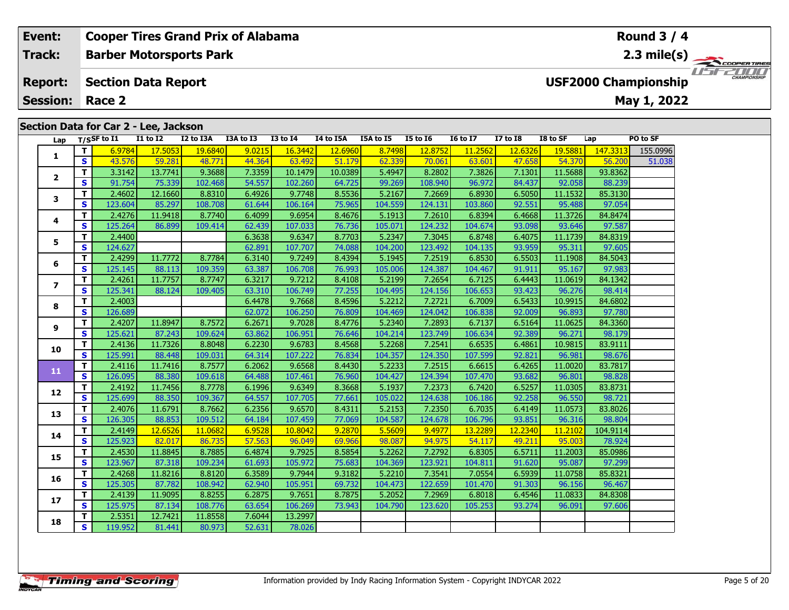# **Lap T/SSF to I1 I1 to I2 I2 to I3A I3A to I3 I3 to I4 I4 to I5A I5A to I5 I5 to I6 I6 to I7 I7 to I8 I8 to SF Lap PO to SF 1 <sup>T</sup>** 6.9784 17.5053 19.6840 9.0215 16.3442 12.6960 8.7498 12.8752 11.2562 12.6326 19.5881 147.3313 155.0996 **<sup>S</sup>** 43.576 59.281 48.771 44.364 63.492 51.179 62.339 70.061 63.601 47.658 54.370 56.200 51.038**2Section Data for Car 2 - Lee, Jackson Barber Motorsports Park Section Data Report May 1, 2022 Event: Cooper Tires Grand Prix of Alabama Track:Report: Session: Race 2USF2000 Championship 2.3 mile(s) Round 3 / 4**

|                         | T I          | 6.9784  | 17.5053 | 19.6840 | 9.0215 | 16.3442 | <b>12.6960</b> | 8.7498  | 12.8752 | 11.2562 | 12.6326 | 19.5881 | 147.3313 | 155.0996 |
|-------------------------|--------------|---------|---------|---------|--------|---------|----------------|---------|---------|---------|---------|---------|----------|----------|
| 1                       | S            | 43.576  | 59.281  | 48.771  | 44.364 | 63.492  | 51.179         | 62.339  | 70.061  | 63.601  | 47.658  | 54.370  | 56.200   | 51.038   |
| 2                       | т            | 3.3142  | 13.7741 | 9.3688  | 7.3359 | 10.1479 | 10.0389        | 5.4947  | 8.2802  | 7.3826  | 7.1301  | 11.5688 | 93.8362  |          |
|                         | S            | 91.754  | 75.339  | 102.468 | 54.557 | 102.260 | 64.725         | 99.269  | 108.940 | 96.972  | 84.437  | 92.058  | 88.239   |          |
| 3                       | т            | 2.4602  | 12.1660 | 8.8310  | 6.4926 | 9.7748  | 8.5536         | 5.2167  | 7.2669  | 6.8930  | 6.5050  | 11.1532 | 85.3130  |          |
|                         | $\mathbf{s}$ | 123.604 | 85.297  | 108.708 | 61.644 | 106.164 | 75.965         | 104.559 | 124.131 | 103.860 | 92.551  | 95.488  | 97.054   |          |
| 4                       | т            | 2.4276  | 11.9418 | 8.7740  | 6.4099 | 9.6954  | 8.4676         | 5.1913  | 7.2610  | 6.8394  | 6.4668  | 11.3726 | 84.8474  |          |
|                         | S            | 125.264 | 86.899  | 109.414 | 62.439 | 107.033 | 76.736         | 105.071 | 124.232 | 104.674 | 93.098  | 93.646  | 97.587   |          |
| 5                       | т            | 2.4400  |         |         | 6.3638 | 9.6347  | 8.7703         | 5.2347  | 7.3045  | 6.8748  | 6.4075  | 11.1739 | 84.8319  |          |
|                         | S            | 124.627 |         |         | 62.891 | 107.707 | 74.088         | 104.200 | 123.492 | 104.135 | 93.959  | 95.311  | 97.605   |          |
| 6                       | т            | 2.4299  | 11.7772 | 8.7784  | 6.3140 | 9.7249  | 8.4394         | 5.1945  | 7.2519  | 6.8530  | 6.5503  | 11.1908 | 84.5043  |          |
|                         | s            | 125.145 | 88.113  | 109.359 | 63.387 | 106.708 | 76.993         | 105.006 | 124.387 | 104.467 | 91.911  | 95.167  | 97.983   |          |
| 7                       | т            | 2.4261  | 11.7757 | 8.7747  | 6.3217 | 9.7212  | 8.4108         | 5.2199  | 7.2654  | 6.7125  | 6.4443  | 11.0619 | 84.1342  |          |
|                         | S            | 125.341 | 88.124  | 109.405 | 63.310 | 106.749 | 77.255         | 104.495 | 124.156 | 106.653 | 93.423  | 96.276  | 98.414   |          |
| 8                       | т            | 2.4003  |         |         | 6.4478 | 9.7668  | 8.4596         | 5.2212  | 7.2721  | 6.7009  | 6.5433  | 10.9915 | 84.6802  |          |
|                         | S            | 126.689 |         |         | 62.072 | 106.250 | 76.809         | 104.469 | 124.042 | 106.838 | 92.009  | 96.893  | 97.780   |          |
| 9                       | т            | 2.4207  | 11.8947 | 8.7572  | 6.2671 | 9.7028  | 8.4776         | 5.2340  | 7.2893  | 6.7137  | 6.5164  | 11.0625 | 84.3360  |          |
|                         | S            | 125.621 | 87.243  | 109.624 | 63.862 | 106.951 | 76.646         | 104.214 | 123.749 | 106.634 | 92.389  | 96.271  | 98.179   |          |
| LO                      | т            | 2.4136  | 11.7326 | 8.8048  | 6.2230 | 9.6783  | 8.4568         | 5.2268  | 7.2541  | 6.6535  | 6.4861  | 10.9815 | 83.9111  |          |
|                         | S            | 125.991 | 88.448  | 109.031 | 64.314 | 107.222 | 76.834         | 104.357 | 124.350 | 107.599 | 92.821  | 96.981  | 98.676   |          |
| $\overline{\mathbf{1}}$ | T.           | 2.4116  | 11.7416 | 8.7577  | 6.2062 | 9.6568  | 8.4430         | 5.2233  | 7.2515  | 6.6615  | 6.4265  | 11.0020 | 83.7817  |          |
|                         | $\mathbf{s}$ | 126.095 | 88.380  | 109.618 | 64.488 | 107.461 | 76.960         | 104.427 | 124.394 | 107.470 | 93.682  | 96.801  | 98.828   |          |
| L2                      | т            | 2.4192  | 11.7456 | 8.7778  | 6.1996 | 9.6349  | 8.3668         | 5.1937  | 7.2373  | 6.7420  | 6.5257  | 11.0305 | 83.8731  |          |
|                         | S            | 125.699 | 88.350  | 109.367 | 64.557 | 107.705 | 77.661         | 105.022 | 124.638 | 106.186 | 92.258  | 96.550  | 98.721   |          |
| L3                      | т            | 2.4076  | 11.6791 | 8.7662  | 6.2356 | 9.6570  | 8.4311         | 5.2153  | 7.2350  | 6.7035  | 6.4149  | 11.0573 | 83.8026  |          |
|                         | S            | 126.305 | 88.853  | 109.512 | 64.184 | 107.459 | 77.069         | 104.587 | 124.678 | 106.796 | 93.851  | 96.316  | 98.804   |          |
| ι4                      | т            | 2.4149  | 12.6526 | 11.0682 | 6.9528 | 10.8042 | 9.2870         | 5.5609  | 9.4977  | 13.2289 | 12.2340 | 11.2102 | 104.9114 |          |
|                         | s            | 125.923 | 82.017  | 86.735  | 57.563 | 96.049  | 69.966         | 98.087  | 94.975  | 54.117  | 49.211  | 95.003  | 78.924   |          |
| L5                      | т            | 2.4530  | 11.8845 | 8.7885  | 6.4874 | 9.7925  | 8.5854         | 5.2262  | 7.2792  | 6.8305  | 6.5711  | 11.2003 | 85.0986  |          |
|                         | S            | 123.967 | 87.318  | 109.234 | 61.693 | 105.972 | 75.683         | 104.369 | 123.921 | 104.811 | 91.620  | 95.087  | 97.299   |          |
| L6                      | т            | 2.4268  | 11.8216 | 8.8120  | 6.3589 | 9.7944  | 9.3182         | 5.2210  | 7.3541  | 7.0554  | 6.5939  | 11.0758 | 85.8321  |          |
|                         | S            | 125.305 | 87.782  | 108.942 | 62.940 | 105.951 | 69.732         | 104.473 | 122.659 | 101.470 | 91.303  | 96.156  | 96.467   |          |

**<sup>T</sup>** 2.5351 12.7421 11.8558 7.6044 13.2997 **<sup>S</sup>** 119.952 81.441 80.973 52.631 78.026

**3**

**4**

**5**

**6**

**7**

**8**

**9**

**10**

**11**

**12**

**13**

**14**

**15**

**16**

**17**

**18**

**<sup>T</sup>** 2.4139 11.9095 8.8255 6.2875 9.7651 8.7875 5.2052 7.2969 6.8018 6.4546 11.0833 84.8308 **<sup>S</sup>** 125.975 87.134 108.776 63.654 106.269 73.943 104.790 123.620 105.253 93.274 96.091 97.606

11515211111

97.606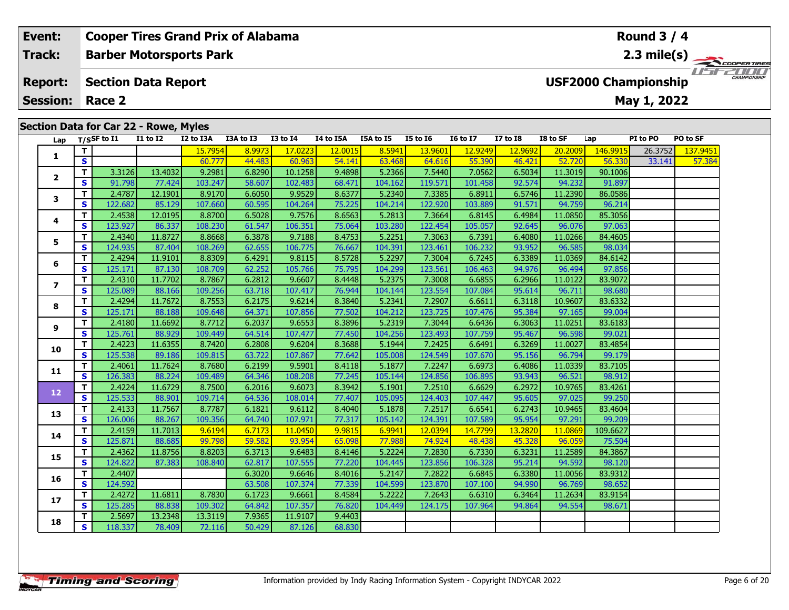#### **Cooper Tires Grand Prix of Alabama Event: Round 3 / 4Barber Motorsports Park Track:2.3 mile(s)** 11515211111 **Report: Section Data Report USF2000 Championship May 1, 2022 Session: Race 2Section Data for Car 22 - Rowe, Myles Lap T/SSF to I1 I1 to I2 I2 to I3A I3A to I3 I3 to I4 I4 to I5A I5A to I5 I5 to I6 I6 to I7 I7 to I8 I8 to SF Lap PI to PO PO to SF <sup>T</sup>** 15.7954 8.9973 17.0223 12.0015 8.5941 13.9601 12.9249 12.9692 20.2009 146.9915 26.3752 137.9451 **<sup>S</sup>** 60.777 44.483 60.963 54.141 63.468 64.616 55.390 46.421 52.720 56.330 33.141 57.384**1 <sup>T</sup>** 3.3126 13.4032 9.2981 6.8290 10.1258 9.4898 5.2366 7.5440 7.0562 6.5034 11.3019 90.1006 **<sup>S</sup>** 91.798 77.424 103.247 58.607 102.483 68.471 104.162 119.571 101.458 92.574 94.232 91.897**2**

**<sup>T</sup>** 2.4787 12.1901 8.9170 6.6050 9.9529 8.6377 5.2340 7.3385 6.8911 6.5746 11.2390 86.0586 **<sup>S</sup>** 122.682 85.129 107.660 60.595 104.264 75.225 104.214 122.920 103.889 91.571 94.759 96.214

**<sup>T</sup>** 2.4538 12.0195 8.8700 6.5028 9.7576 8.6563 5.2813 7.3664 6.8145 6.4984 11.0850 85.3056 **<sup>S</sup>** 123.927 86.337 108.230 61.547 106.351 75.064 103.280 122.454 105.057 92.645 96.076 97.063

**<sup>T</sup>** 2.4340 11.8727 8.8668 6.3878 9.7188 8.4753 5.2251 7.3063 6.7391 6.4080 11.0266 84.4605 **<sup>S</sup>** 124.935 87.404 108.269 62.655 106.775 76.667 104.391 123.461 106.232 93.952 96.585 98.034

**<sup>T</sup>** 2.4294 11.9101 8.8309 6.4291 9.8115 8.5728 5.2297 7.3004 6.7245 6.3389 11.0369 84.6142 **<sup>S</sup>** 125.171 87.130 108.709 62.252 105.766 75.795 104.299 123.561 106.463 94.976 96.494 97.856

**<sup>T</sup>** 2.4310 11.7702 8.7867 6.2812 9.6607 8.4448 5.2375 7.3008 6.6855 6.2966 11.0122 83.9072 **<sup>S</sup>** 125.089 88.166 109.256 63.718 107.417 76.944 104.144 123.554 107.084 95.614 96.711 98.680

**<sup>T</sup>** 2.4294 11.7672 8.7553 6.2175 9.6214 8.3840 5.2341 7.2907 6.6611 6.3118 10.9607 83.6332 **<sup>S</sup>** 125.171 88.188 109.648 64.371 107.856 77.502 104.212 123.725 107.476 95.384 97.165 99.004

**<sup>T</sup>** 2.4180 11.6692 8.7712 6.2037 9.6553 8.3896 5.2319 7.3044 6.6436 6.3063 11.0251 83.6183 **<sup>S</sup>** 125.761 88.929 109.449 64.514 107.477 77.450 104.256 123.493 107.759 95.467 96.598 99.021

**<sup>T</sup>** 2.4223 11.6355 8.7420 6.2808 9.6204 8.3688 5.1944 7.2425 6.6491 6.3269 11.0027 83.4854 **<sup>S</sup>** 125.538 89.186 109.815 63.722 107.867 77.642 105.008 124.549 107.670 95.156 96.794 99.179

**<sup>T</sup>** 2.4061 11.7624 8.7680 6.2199 9.5901 8.4118 5.1877 7.2247 6.6973 6.4086 11.0339 83.7105 **<sup>S</sup>** 126.383 88.224 109.489 64.346 108.208 77.245 105.144 124.856 106.895 93.943 96.521 98.912

**<sup>T</sup>** 2.4224 11.6729 8.7500 6.2016 9.6073 8.3942 5.1901 7.2510 6.6629 6.2972 10.9765 83.4261 **<sup>S</sup>** 125.533 88.901 109.714 64.536 108.014 77.407 105.095 124.403 107.447 95.605 97.025 99.250

**<sup>T</sup>** 2.4133 11.7567 8.7787 6.1821 9.6112 8.4040 5.1878 7.2517 6.6541 6.2743 10.9465 83.4604 **<sup>S</sup>** 126.006 88.267 109.356 64.740 107.971 77.317 105.142 124.391 107.589 95.954 97.291 99.209

**<sup>T</sup>** 2.4159 11.7013 9.6194 6.7173 11.0450 9.9815 6.9941 12.0394 14.7799 13.2820 11.0869 109.6627 **<sup>S</sup>** 125.871 88.685 99.798 59.582 93.954 65.098 77.988 74.924 48.438 45.328 96.059 75.504

**<sup>T</sup>** 2.4362 11.8756 8.8203 6.3713 9.6483 8.4146 5.2224 7.2830 6.7330 6.3231 11.2589 84.3867 **<sup>S</sup>** 124.822 87.383 108.840 62.817 107.555 77.220 104.445 123.856 106.328 95.214 94.592 98.120

**<sup>T</sup>** 2.4407 6.3020 9.6646 8.4016 5.2147 7.2822 6.6845 6.3380 11.0056 83.9312 **<sup>S</sup>** 124.592 63.508 107.374 77.339 104.599 123.870 107.100 94.990 96.769 98.652

**<sup>T</sup>** 2.4272 11.6811 8.7830 6.1723 9.6661 8.4584 5.2222 7.2643 6.6310 6.3464 11.2634 83.9154 **<sup>S</sup>** 125.285 88.838 109.302 64.842 107.357 76.820 104.449 124.175 107.964 94.864 94.554 98.671

**<sup>T</sup>** 2.5697 13.2348 13.3119 7.9365 11.9107 9.4403 **<sup>S</sup>** 118.337 78.409 72.116 50.429 87.126 68.830

**3**

**4**

**5**

**6**

**7**

**8**

**9**

**10**

**11**

**12**

**13**

**14**

**15**

**16**

**17**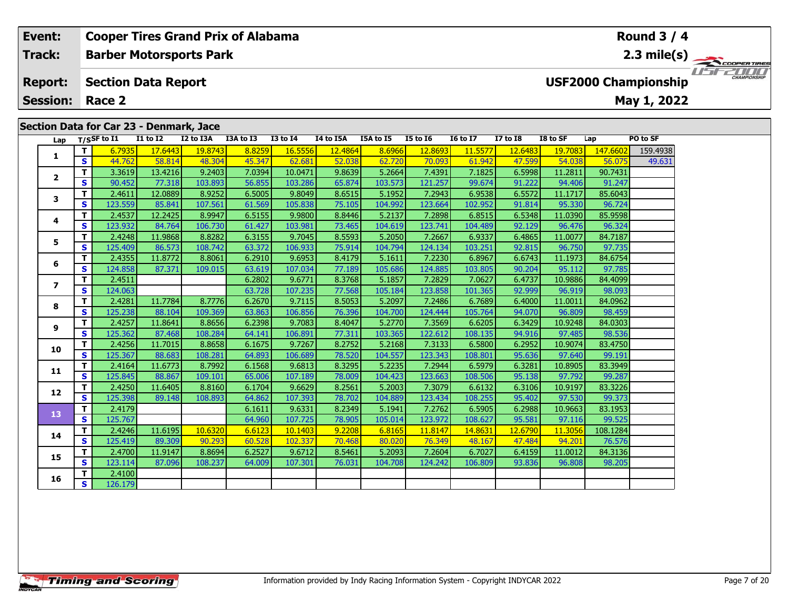#### **Round 3 / 4Event: Cooper Tires Grand Prix of Alabama Track:Barber Motorsports Park 2.3 mile(s)** USE2000 **Section Data Report Report: USF2000 Championship May 1, 2022 Session: Race 2 Section Data for Car 23 - Denmark, Jace Lap T/SSF to I1 I1 to I2 I2 to I3A I3A to I3 I3 to I4 I4 to I5A I5A to I5 I5 to I6 I6 to I7 I7 to I8 I8 to SF Lap PO to SF <sup>T</sup>** 6.7935 17.6443 19.8743 8.8259 16.5556 12.4864 8.6966 12.8693 11.5577 12.6483 19.7083 147.6602 159.4938 **<sup>S</sup>** 44.762 58.814 48.304 45.347 62.681 52.038 62.720 70.093 61.942 47.599 54.038 56.075 49.631**1 <sup>T</sup>** 3.3619 13.4216 9.2403 7.0394 10.0471 9.8639 5.2664 7.4391 7.1825 6.5998 11.2811 90.7431 **<sup>S</sup>** 90.452 77.318 103.893 56.855 103.286 65.874 103.573 121.257 99.674 91.222 94.406 91.247**2**

|                         |                         | -----   | 10. ILIV | הטו הוכ | 1.0001 | 10.0171 | <u>,,,,,</u> | 5.200   | ,,,,,,  | 7.1023  | <u></u> | ------  | <u>,,,,,,</u> |
|-------------------------|-------------------------|---------|----------|---------|--------|---------|--------------|---------|---------|---------|---------|---------|---------------|
| $\overline{2}$          | S                       | 90.452  | 77.318   | 103.893 | 56.855 | 103.286 | 65.874       | 103.573 | 121.257 | 99.674  | 91.222  | 94.406  | 91.247        |
| 3                       | T                       | 2.4611  | 12.0889  | 8.9252  | 6.5005 | 9.8049  | 8.6515       | 5.1952  | 7.2943  | 6.9538  | 6.5572  | 11.1717 | 85.6043       |
|                         | $\mathbf{s}$            | 123.559 | 85.841   | 107.561 | 61.569 | 105.838 | 75.105       | 104.992 | 123.664 | 102.952 | 91.814  | 95.330  | 96.724        |
| 4                       | T.                      | 2.4537  | 12.2425  | 8.9947  | 6.5155 | 9.9800  | 8.8446       | 5.2137  | 7.2898  | 6.8515  | 6.5348  | 11.0390 | 85.9598       |
|                         | S                       | 123.932 | 84.764   | 106.730 | 61.427 | 103.981 | 73.465       | 104.619 | 123.741 | 104.489 | 92.129  | 96.476  | 96.324        |
| 5                       | T                       | 2.4248  | 11.9868  | 8.8282  | 6.3155 | 9.7045  | 8.5593       | 5.2050  | 7.2667  | 6.9337  | 6.4865  | 11.0077 | 84.7187       |
|                         | S                       | 125.409 | 86.573   | 108.742 | 63.372 | 106.933 | 75.914       | 104.794 | 124.134 | 103.251 | 92.815  | 96.750  | 97.735        |
| 6                       | т                       | 2.4355  | 11.8772  | 8.8061  | 6.2910 | 9.6953  | 8.4179       | 5.1611  | 7.2230  | 6.8967  | 6.6743  | 11.1973 | 84.6754       |
|                         | S                       | 124.858 | 87.371   | 109.015 | 63.619 | 107.034 | 77.189       | 105.686 | 124.885 | 103.805 | 90.204  | 95.112  | 97.785        |
| $\overline{\mathbf{z}}$ | T                       | 2.4511  |          |         | 6.2802 | 9.6771  | 8.3768       | 5.1857  | 7.2829  | 7.0627  | 6.4737  | 10.9886 | 84.4099       |
|                         | S                       | 124.063 |          |         | 63.728 | 107.235 | 77.568       | 105.184 | 123.858 | 101.365 | 92.999  | 96.919  | 98.093        |
| 8                       | т                       | 2.4281  | 11.7784  | 8.7776  | 6.2670 | 9.7115  | 8.5053       | 5.2097  | 7.2486  | 6.7689  | 6.4000  | 11.0011 | 84.0962       |
|                         | S                       | 125.238 | 88.104   | 109.369 | 63.863 | 106.856 | 76.396       | 104.700 | 124.444 | 105.764 | 94.070  | 96.809  | 98.459        |
| 9                       | т                       | 2.4257  | 11.8641  | 8.8656  | 6.2398 | 9.7083  | 8.4047       | 5.2770  | 7.3569  | 6.6205  | 6.3429  | 10.9248 | 84.0303       |
|                         | S                       | 125.362 | 87.468   | 108.284 | 64.141 | 106.891 | 77.311       | 103.365 | 122.612 | 108.135 | 94.916  | 97.485  | 98.536        |
| 10                      | T.                      | 2.4256  | 11.7015  | 8.8658  | 6.1675 | 9.7267  | 8.2752       | 5.2168  | 7.3133  | 6.5800  | 6.2952  | 10.9074 | 83.4750       |
|                         | $\mathbf{s}$            | 125.367 | 88.683   | 108.281 | 64.893 | 106.689 | 78.520       | 104.557 | 123.343 | 108.801 | 95.636  | 97.640  | 99.191        |
| 11                      | T.                      | 2.4164  | 11.6773  | 8.7992  | 6.1568 | 9.6813  | 8.3295       | 5.2235  | 7.2944  | 6.5979  | 6.3281  | 10.8905 | 83.3949       |
|                         | $\overline{\mathbf{s}}$ | 125.845 | 88.867   | 109.101 | 65.006 | 107.189 | 78.009       | 104.423 | 123.663 | 108.506 | 95.138  | 97.792  | 99.287        |
| 12                      | T.                      | 2.4250  | 11.6405  | 8.8160  | 6.1704 | 9.6629  | 8.2561       | 5.2003  | 7.3079  | 6.6132  | 6.3106  | 10.9197 | 83.3226       |
|                         | $\mathbf{s}$            | 125.398 | 89.148   | 108.893 | 64.862 | 107.393 | 78.702       | 104.889 | 123.434 | 108.255 | 95.402  | 97.530  | 99.373        |
| 13                      | T.                      | 2.4179  |          |         | 6.1611 | 9.6331  | 8.2349       | 5.1941  | 7.2762  | 6.5905  | 6.2988  | 10.9663 | 83.1953       |
|                         | <b>S</b>                | 125.767 |          |         | 64.960 | 107.725 | 78.905       | 105.014 | 123.972 | 108.627 | 95.581  | 97.116  | 99.525        |
| 14                      | T                       | 2.4246  | 11.6195  | 10.6320 | 6.6123 | 10.1403 | 9.2208       | 6.8165  | 11.8147 | 14.8631 | 12.6790 | 11.3056 | 108.1284      |
|                         | $\mathbf{s}$            | 125.419 | 89.309   | 90.293  | 60.528 | 102.337 | 70.468       | 80.020  | 76.349  | 48.167  | 47.484  | 94.201  | 76.576        |
| 15                      | T.                      | 2.4700  | 11.9147  | 8.8694  | 6.2527 | 9.6712  | 8.5461       | 5.2093  | 7.2604  | 6.7027  | 6.4159  | 11.0012 | 84.3136       |
|                         | S                       | 123.114 | 87.096   | 108.237 | 64.009 | 107.301 | 76.031       | 104.708 | 124.242 | 106.809 | 93.836  | 96.808  | 98.205        |
| 16                      | т                       | 2.4100  |          |         |        |         |              |         |         |         |         |         |               |
|                         | S.                      | 126.179 |          |         |        |         |              |         |         |         |         |         |               |
|                         |                         |         |          |         |        |         |              |         |         |         |         |         |               |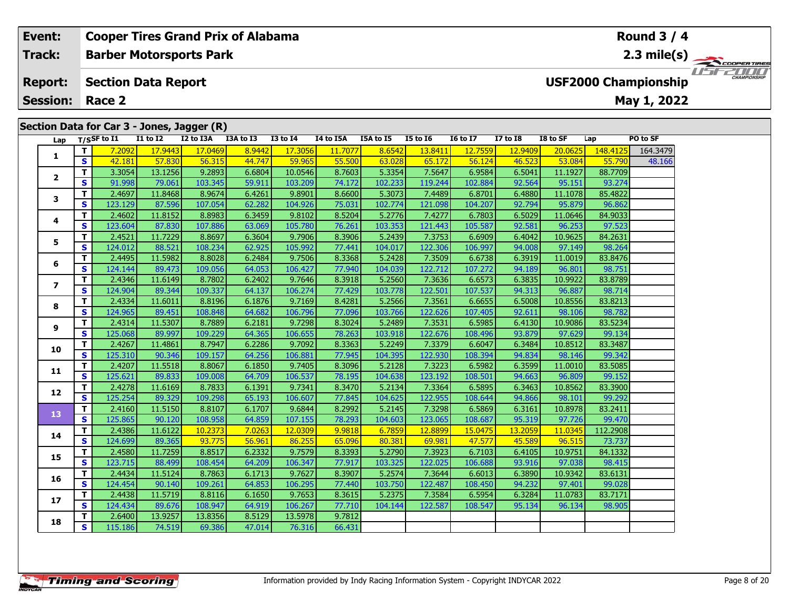### **Event: Cooper Tires Grand Prix of Alabama Round 3 / 42.3 mile(s) Track:Barber Motorsports Park** *usrzoo* **USF2000 Championship Report: Section Data Report May 1, 2022 Session: Race 2 Section Data for Car 3 - Jones, Jagger (R) Lap T/SSF to I1 I1 to I2 I2 to I3A I3A to I3 I3 to I4 I4 to I5A I5A to I5 I5 to I6 I6 to I7 I7 to I8 I8 to SF Lap PO to SF <sup>T</sup>** 7.2092 17.9443 17.0469 8.9442 17.3056 11.7077 8.6542 13.8411 12.7559 12.9409 20.0625 148.4125 164.3479 **<sup>S</sup>** 42.181 57.830 56.315 44.747 59.965 55.500 63.028 65.172 56.124 46.523 53.084 55.790 48.166**12**

|                | T.                      | 7.2092  | 17.9443 | 17,0469 | 8.9442 | 17.3056 | 11.7077 | 8.6542  | 13.8411 | 12.7559 | 12.9409 | 20,0625 | 148.4125 | 164.3479 |
|----------------|-------------------------|---------|---------|---------|--------|---------|---------|---------|---------|---------|---------|---------|----------|----------|
| 1              | <b>S</b>                | 42.181  | 57.830  | 56.315  | 44.747 | 59.965  | 55.500  | 63.028  | 65.172  | 56.124  | 46.523  | 53.084  | 55.790   | 48.166   |
|                | T.                      | 3.3054  | 13.1256 | 9.2893  | 6.6804 | 10.0546 | 8.7603  | 5.3354  | 7.5647  | 6.9584  | 6.5041  | 11.1927 | 88.7709  |          |
| $\mathbf{2}$   | $\mathbf{s}$            | 91.998  | 79.061  | 103.345 | 59.911 | 103.209 | 74.172  | 102.233 | 119.244 | 102.884 | 92.564  | 95.151  | 93.274   |          |
| 3              | T.                      | 2.4697  | 11.8468 | 8.9674  | 6.4261 | 9.8901  | 8.6600  | 5.3073  | 7.4489  | 6.8701  | 6.4880  | 11.1078 | 85.4822  |          |
|                | <b>S</b>                | 123.129 | 87.596  | 107.054 | 62.282 | 104.926 | 75.031  | 102.774 | 121.098 | 104.207 | 92.794  | 95.879  | 96.862   |          |
| 4              | $\mathbf{T}$            | 2.4602  | 11.8152 | 8.8983  | 6.3459 | 9.8102  | 8.5204  | 5.2776  | 7.4277  | 6.7803  | 6.5029  | 11.0646 | 84.9033  |          |
|                | <b>S</b>                | 123.604 | 87.830  | 107.886 | 63.069 | 105.780 | 76.261  | 103.353 | 121.443 | 105.587 | 92.581  | 96.253  | 97.523   |          |
| 5              | T.                      | 2.4521  | 11.7229 | 8.8697  | 6.3604 | 9.7906  | 8.3906  | 5.2439  | 7.3753  | 6.6909  | 6.4042  | 10.9625 | 84.2631  |          |
|                | $\mathbf{s}$            | 124.012 | 88.521  | 108.234 | 62.925 | 105.992 | 77.441  | 104.017 | 122.306 | 106.997 | 94.008  | 97.149  | 98.264   |          |
| 6              | T.                      | 2.4495  | 11.5982 | 8.8028  | 6.2484 | 9.7506  | 8.3368  | 5.2428  | 7.3509  | 6.6738  | 6.3919  | 11.0019 | 83.8476  |          |
|                | S                       | 124.144 | 89.473  | 109.056 | 64.053 | 106.427 | 77.940  | 104.039 | 122.712 | 107.272 | 94.189  | 96.801  | 98.751   |          |
| $\overline{ }$ | T                       | 2.4346  | 11.6149 | 8.7802  | 6.2402 | 9.7646  | 8.3918  | 5.2560  | 7.3636  | 6.6573  | 6.3835  | 10.9922 | 83.8789  |          |
|                | $\mathbf{s}$            | 124.904 | 89.344  | 109.337 | 64.137 | 106.274 | 77.429  | 103.778 | 122.501 | 107.537 | 94.313  | 96.887  | 98.714   |          |
| 8              | т                       | 2.4334  | 11.6011 | 8.8196  | 6.1876 | 9.7169  | 8.4281  | 5.2566  | 7.3561  | 6.6655  | 6.5008  | 10.8556 | 83.8213  |          |
|                | S                       | 124.965 | 89.451  | 108.848 | 64.682 | 106.796 | 77.096  | 103.766 | 122.626 | 107.405 | 92.611  | 98.106  | 98.782   |          |
| 9              | T.                      | 2.4314  | 11.5307 | 8.7889  | 6.2181 | 9.7298  | 8.3024  | 5.2489  | 7.3531  | 6.5985  | 6.4130  | 10.9086 | 83.5234  |          |
|                | S                       | 125.068 | 89.997  | 109.229 | 64.365 | 106.655 | 78.263  | 103.918 | 122.676 | 108.496 | 93.879  | 97.629  | 99.134   |          |
| 10             | T.                      | 2.4267  | 11.4861 | 8.7947  | 6.2286 | 9.7092  | 8.3363  | 5.2249  | 7.3379  | 6.6047  | 6.3484  | 10.8512 | 83.3487  |          |
|                | $\mathbf{s}$            | 125.310 | 90.346  | 109.157 | 64.256 | 106.881 | 77.945  | 104.395 | 122.930 | 108.394 | 94.834  | 98.146  | 99.342   |          |
| 11             | T.                      | 2.4207  | 11.5518 | 8.8067  | 6.1850 | 9.7405  | 8.3096  | 5.2128  | 7.3223  | 6.5982  | 6.3599  | 11.0010 | 83.5085  |          |
|                | $\mathbf{s}$            | 125.621 | 89.833  | 109.008 | 64.709 | 106.537 | 78.195  | 104.638 | 123.192 | 108.501 | 94.663  | 96.809  | 99.152   |          |
| 12             | T.                      | 2.4278  | 11.6169 | 8.7833  | 6.1391 | 9.7341  | 8.3470  | 5.2134  | 7.3364  | 6.5895  | 6.3463  | 10.8562 | 83.3900  |          |
|                | S                       | 125.254 | 89.329  | 109.298 | 65.193 | 106.607 | 77.845  | 104.625 | 122.955 | 108.644 | 94.866  | 98.101  | 99.292   |          |
| 13             | $\mathbf{T}$            | 2.4160  | 11.5150 | 8.8107  | 6.1707 | 9.6844  | 8.2992  | 5.2145  | 7.3298  | 6.5869  | 6.3161  | 10.8978 | 83.2411  |          |
|                | <b>S</b>                | 125.865 | 90.120  | 108.958 | 64.859 | 107.155 | 78.293  | 104.603 | 123.065 | 108.687 | 95.319  | 97.726  | 99.470   |          |
| 14             | T.                      | 2.4386  | 11.6122 | 10.2373 | 7.0263 | 12.0309 | 9.9818  | 6.7859  | 12.8899 | 15.0475 | 13.2059 | 11.0345 | 112.2908 |          |
|                | $\mathbf{s}$            | 124.699 | 89.365  | 93.775  | 56.961 | 86.255  | 65.096  | 80.381  | 69.981  | 47.577  | 45.589  | 96.515  | 73.737   |          |
| 15             | T.                      | 2.4580  | 11.7259 | 8.8517  | 6.2332 | 9.7579  | 8.3393  | 5.2790  | 7.3923  | 6.7103  | 6.4105  | 10.9751 | 84.1332  |          |
|                | $\overline{\mathbf{s}}$ | 123.715 | 88.499  | 108.454 | 64.209 | 106.347 | 77.917  | 103.325 | 122.025 | 106.688 | 93.916  | 97.038  | 98.415   |          |
| 16             | T.                      | 2.4434  | 11.5124 | 8.7863  | 6.1713 | 9.7627  | 8.3907  | 5.2574  | 7.3644  | 6.6013  | 6.3890  | 10.9342 | 83.6131  |          |
|                | $\mathbf{s}$            | 124.454 | 90.140  | 109.261 | 64.853 | 106.295 | 77.440  | 103.750 | 122.487 | 108.450 | 94.232  | 97.401  | 99.028   |          |
| 17             | T.                      | 2.4438  | 11.5719 | 8.8116  | 6.1650 | 9.7653  | 8.3615  | 5.2375  | 7.3584  | 6.5954  | 6.3284  | 11.0783 | 83.7171  |          |
|                | <b>S</b>                | 124.434 | 89.676  | 108.947 | 64.919 | 106.267 | 77.710  | 104.144 | 122.587 | 108.547 | 95.134  | 96.134  | 98.905   |          |
| 18             | T.                      | 2.6400  | 13.9257 | 13.8356 | 8.5129 | 13.5978 | 9.7812  |         |         |         |         |         |          |          |
|                | S                       | 115.186 | 74.519  | 69.386  | 47.014 | 76.316  | 66.431  |         |         |         |         |         |          |          |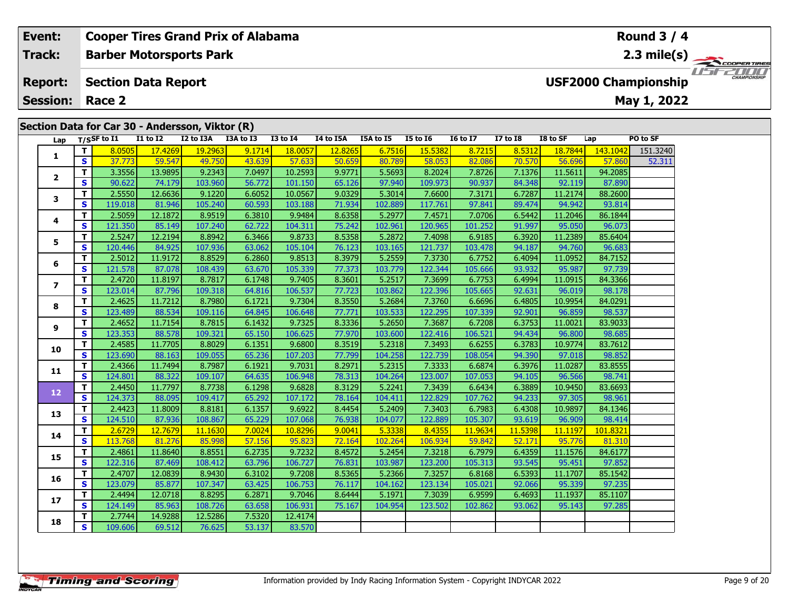# **Event: Cooper Tires Grand Prix of Alabama Round 3 / 4Track:Barber Motorsports Park 2.3 mile(s)** 11517211111 **Section Data Report Report: USF2000 Championship May 1, 2022 Session: Race 2 Section Data for Car 30 - Andersson, Viktor (R) Lap T/SSF to I1 I1 to I2 I2 to I3A I3A to I3 I3 to I4 I4 to I5A I5A to I5 I5 to I6 I6 to I7 I7 to I8 I8 to SF Lap PO to SF <sup>T</sup>** 8.0505 17.4269 19.2963 9.1714 18.0057 12.8265 6.7516 15.5382 8.7215 8.5312 18.7844 143.1042 151.3240 **<sup>S</sup>** 37.773 59.547 49.750 43.639 57.633 50.659 80.789 58.053 82.086 70.570 56.696 57.860 52.311**1**

|                   | ಶ                       | 37.773  | <u>39.347</u> | <u>49.730</u> | <u>49.092</u> | <u><b>CCO. /C</b></u> | <u>ວບ.ບວອ</u> | 00.702  | <u><b>JO.UJJ</b></u> | <u>oz.uou</u> | 70.370  | <b>20.020</b> | <b>DOO. IC</b> | <b>25.2TT</b> |
|-------------------|-------------------------|---------|---------------|---------------|---------------|-----------------------|---------------|---------|----------------------|---------------|---------|---------------|----------------|---------------|
|                   | т                       | 3.3556  | 13.9895       | 9.2343        | 7.0497        | 10.2593               | 9.9771        | 5.5693  | 8.2024               | 7.8726        | 7.1376  | 11.5611       | 94.2085        |               |
| $\mathbf{2}$      | S                       | 90.622  | 74.179        | 103.960       | 56.772        | 101.150               | 65.126        | 97.940  | 109.973              | 90.937        | 84.348  | 92.119        | 87.890         |               |
| 3                 | т                       | 2.5550  | 12.6636       | 9.1220        | 6.6052        | 10.0567               | 9.0329        | 5.3014  | 7.6600               | 7.3171        | 6.7287  | 11.2174       | 88.2600        |               |
|                   | $\mathbf{s}$            | 119.018 | 81.946        | 105.240       | 60.593        | 103.188               | 71.934        | 102.889 | 117.761              | 97.841        | 89.474  | 94.942        | 93.814         |               |
| 4                 | T                       | 2.5059  | 12.1872       | 8.9519        | 6.3810        | 9.9484                | 8.6358        | 5.2977  | 7.4571               | 7.0706        | 6.5442  | 11.2046       | 86.1844        |               |
|                   | S                       | 121.350 | 85.149        | 107.240       | 62.722        | 104.311               | 75.242        | 102.961 | 120.965              | 101.252       | 91.997  | 95.050        | 96.073         |               |
| 5                 | Т                       | 2.5247  | 12.2194       | 8.8942        | 6.3466        | 9.8733                | 8.5358        | 5.2872  | 7.4098               | 6.9185        | 6.3920  | 11.2389       | 85.6404        |               |
|                   | S                       | 120.446 | 84.925        | 107.936       | 63.062        | 105.104               | 76.123        | 103.165 | 121.737              | 103.478       | 94.187  | 94.760        | 96.683         |               |
| 6                 | т                       | 2.5012  | 11.9172       | 8.8529        | 6.2860        | 9.8513                | 8.3979        | 5.2559  | 7.3730               | 6.7752        | 6.4094  | 11.0952       | 84.7152        |               |
|                   | S                       | 121.578 | 87.078        | 108.439       | 63.670        | 105.339               | 77.373        | 103.779 | 122.344              | 105.666       | 93.932  | 95.987        | 97.739         |               |
| $\overline{ }$    | $\mathbf T$             | 2.4720  | 11.8197       | 8.7817        | 6.1748        | 9.7405                | 8.3601        | 5.2517  | 7.3699               | 6.7753        | 6.4994  | 11.0915       | 84.3366        |               |
|                   | $\mathbf{s}$            | 123.014 | 87.796        | 109.318       | 64.816        | 106.537               | 77.723        | 103.862 | 122.396              | 105.665       | 92.631  | 96.019        | 98.178         |               |
| 8                 | T                       | 2.4625  | 11.7212       | 8.7980        | 6.1721        | 9.7304                | 8.3550        | 5.2684  | 7.3760               | 6.6696        | 6.4805  | 10.9954       | 84.0291        |               |
|                   | S                       | 123.489 | 88.534        | 109.116       | 64.845        | 106.648               | 77.771        | 103.533 | 122.295              | 107.339       | 92.901  | 96.859        | 98.537         |               |
| 9                 | T                       | 2.4652  | 11.7154       | 8.7815        | 6.1432        | 9.7325                | 8.3336        | 5.2650  | 7.3687               | 6.7208        | 6.3753  | 11.0021       | 83.9033        |               |
|                   | $\mathbf{s}$            | 123.353 | 88.578        | 109.321       | 65.150        | 106.625               | 77.970        | 103.600 | 122.416              | 106.521       | 94.434  | 96.800        | 98.685         |               |
| 10                | T                       | 2.4585  | 11.7705       | 8.8029        | 6.1351        | 9.6800                | 8.3519        | 5.2318  | 7.3493               | 6.6255        | 6.3783  | 10.9774       | 83.7612        |               |
|                   | S                       | 123.690 | 88.163        | 109.055       | 65.236        | 107.203               | 77.799        | 104.258 | 122.739              | 108.054       | 94.390  | 97.018        | 98.852         |               |
| 11                | T                       | 2.4366  | 11.7494       | 8.7987        | 6.1921        | 9.7031                | 8.2971        | 5.2315  | 7.3333               | 6.6874        | 6.3976  | 11.0287       | 83.8555        |               |
|                   | $\mathbf{s}$            | 124.801 | 88.322        | 109.107       | 64.635        | 106.948               | 78.313        | 104.264 | 123.007              | 107.053       | 94.105  | 96.566        | 98.741         |               |
| $12 \overline{ }$ | T                       | 2.4450  | 11.7797       | 8.7738        | 6.1298        | 9.6828                | 8.3129        | 5.2241  | 7.3439               | 6.6434        | 6.3889  | 10.9450       | 83.6693        |               |
|                   | S                       | 124.373 | 88.095        | 109.417       | 65.292        | 107.172               | 78.164        | 104.411 | 122.829              | 107.762       | 94.233  | 97.305        | 98.961         |               |
| 13                | Т                       | 2.4423  | 11.8009       | 8.8181        | 6.1357        | 9.6922                | 8.4454        | 5.2409  | 7.3403               | 6.7983        | 6.4308  | 10.9897       | 84.1346        |               |
|                   | $\mathbf{s}$            | 124.510 | 87.936        | 108.867       | 65.229        | 107.068               | 76.938        | 104.077 | 122.889              | 105.307       | 93.619  | 96.909        | 98.414         |               |
| 14                | T.                      | 2.6729  | 12.7679       | 11.1630       | 7.0024        | 10.8296               | 9.0041        | 5.3338  | 8.4355               | 11.9634       | 11.5398 | 11.1197       | 101.8321       |               |
|                   | S                       | 113.768 | 81.276        | 85.998        | 57.156        | 95.823                | 72.164        | 102.264 | 106.934              | 59.842        | 52.171  | 95.776        | 81.310         |               |
| 15                | $\mathbf{T}$            | 2.4861  | 11.8640       | 8.8551        | 6.2735        | 9.7232                | 8.4572        | 5.2454  | 7.3218               | 6.7979        | 6.4359  | 11.1576       | 84.6177        |               |
|                   | $\overline{\mathbf{s}}$ | 122.316 | 87.469        | 108.412       | 63.796        | 106.727               | 76.831        | 103.987 | 123.200              | 105.313       | 93.545  | 95.451        | 97.852         |               |
| 16                | T.                      | 2.4707  | 12.0839       | 8.9430        | 6.3102        | 9.7208                | 8.5365        | 5.2366  | 7.3257               | 6.8168        | 6.5393  | 11.1707       | 85.1542        |               |
|                   | S                       | 123.079 | 85.877        | 107.347       | 63.425        | 106.753               | 76.117        | 104.162 | 123.134              | 105.021       | 92.066  | 95.339        | 97.235         |               |
| 17                | $\mathbf{T}$            | 2.4494  | 12.0718       | 8.8295        | 6.2871        | 9.7046                | 8.6444        | 5.1971  | 7.3039               | 6.9599        | 6.4693  | 11.1937       | 85.1107        |               |
|                   | $\mathbf{s}$            | 124.149 | 85.963        | 108.726       | 63.658        | 106.931               | 75.167        | 104.954 | 123.502              | 102.862       | 93.062  | 95.143        | 97.285         |               |
| 18                | T                       | 2.7744  | 14.9288       | 12.5286       | 7.5320        | 12.4174               |               |         |                      |               |         |               |                |               |
|                   | $\mathbf{s}$            | 109.606 | 69.512        | 76.625        | 53.137        | 83.570                |               |         |                      |               |         |               |                |               |
|                   |                         |         |               |               |               |                       |               |         |                      |               |         |               |                |               |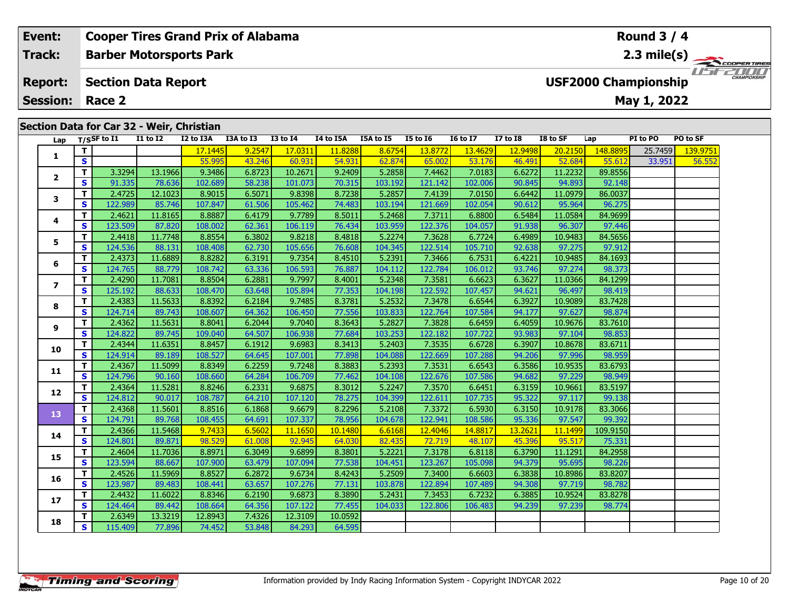## **Event: Cooper Tires Grand Prix of Alabama Round 3 / 4Barber Motorsports Park 2.3 mile(s) Track:** *USE2000* **Report: Section Data Report USF2000 Championship May 1, 2022 Session: Race 2 Section Data for Car 32 - Weir, Christian** Lap T/SSF to I1 I1 to I2 I2 to I3A I3A to I3 I3 to I4 I4 to I5A I5A to I5 I5 to I6 I6 to I7 I7 to I8 I8 to SF Lap PI to PO PO to SF **<sup>T</sup>** 17.1445 9.2547 17.0311 11.8288 8.6754 13.8772 13.4629 12.9498 20.2150 148.8895 25.7459 139.9751 **<sup>S</sup>** 55.995 43.246 60.931 54.931 62.874 65.002 53.176 46.491 52.684 55.612 33.951 56.552**12**

|    | <b>I1 to I2</b> | I2 to I3A | <b>I3A to I3</b> | <b>I3 to I4</b> | 14 to 15 |
|----|-----------------|-----------|------------------|-----------------|----------|
|    |                 | 17.1445   | 9.2547           | 17.0311         |          |
|    |                 | 55.995    | 43.246           | 60.931          | 54       |
| 4  | 13.1966         | 9.3486    | 6.8723           | 10.2671         | 9.       |
| 51 |                 |           |                  |                 |          |

| 1              | т            |         |         | 17.1445 | 9.2547 | 17.0311 | 11.8288 | 8.6754  | 13.8772 | 13.4629 | 12.9498 | 20.2150 | 148.8895 | 25.7459 | 139.975 |
|----------------|--------------|---------|---------|---------|--------|---------|---------|---------|---------|---------|---------|---------|----------|---------|---------|
|                | $\mathbf{s}$ |         |         | 55.995  | 43.246 | 60.931  | 54.931  | 62.874  | 65.002  | 53.176  | 46.491  | 52.684  | 55.612   | 33.951  | 56.55   |
| $\mathbf{2}$   | T.           | 3.3294  | 13.1966 | 9.3486  | 6.8723 | 10.2671 | 9.2409  | 5.2858  | 7.4462  | 7.0183  | 6.6272  | 11.2232 | 89.8556  |         |         |
|                | <b>S</b>     | 91.335  | 78.636  | 102.689 | 58.238 | 101.073 | 70.315  | 103.192 | 121.142 | 102.006 | 90.845  | 94.893  | 92.148   |         |         |
| 3              | т            | 2.4725  | 12.1023 | 8.9015  | 6.5071 | 9.8398  | 8.7238  | 5.2857  | 7.4139  | 7.0150  | 6.6442  | 11.0979 | 86.0037  |         |         |
|                | <b>S</b>     | 122.989 | 85.746  | 107.847 | 61.506 | 105.462 | 74.483  | 103.194 | 121.669 | 102.054 | 90.612  | 95.964  | 96.275   |         |         |
| 4              | т            | 2.4621  | 11.8165 | 8.8887  | 6.4179 | 9.7789  | 8.5011  | 5.2468  | 7.3711  | 6.8800  | 6.5484  | 11.0584 | 84.9699  |         |         |
|                | <b>S</b>     | 123.509 | 87.820  | 108.002 | 62.361 | 106.119 | 76.434  | 103.959 | 122.376 | 104.057 | 91.938  | 96.307  | 97.446   |         |         |
| 5              | T.           | 2.4418  | 11.7748 | 8.8554  | 6.3802 | 9.8218  | 8.4818  | 5.2274  | 7.3628  | 6.7724  | 6.4989  | 10.9483 | 84.5656  |         |         |
|                | <b>S</b>     | 124.536 | 88.131  | 108.408 | 62.730 | 105.656 | 76.608  | 104.345 | 122.514 | 105.710 | 92.638  | 97.275  | 97.912   |         |         |
| 6              | T.           | 2.4373  | 11.6889 | 8.8282  | 6.3191 | 9.7354  | 8.4510  | 5.2391  | 7.3466  | 6.7531  | 6.4221  | 10.9485 | 84.1693  |         |         |
|                | S            | 124.765 | 88.779  | 108.742 | 63.336 | 106.593 | 76.887  | 104.112 | 122.784 | 106.012 | 93.746  | 97.274  | 98.373   |         |         |
| $\overline{ }$ | т            | 2.4290  | 11.7081 | 8.8504  | 6.2881 | 9.7997  | 8.4001  | 5.2348  | 7.3581  | 6.6623  | 6.3627  | 11.0366 | 84.1299  |         |         |
|                | S            | 125.192 | 88.633  | 108.470 | 63.648 | 105.894 | 77.353  | 104.198 | 122.592 | 107.457 | 94.621  | 96.497  | 98.419   |         |         |
| 8              | т            | 2.4383  | 11.5633 | 8.8392  | 6.2184 | 9.7485  | 8.3781  | 5.2532  | 7.3478  | 6.6544  | 6.3927  | 10.9089 | 83.7428  |         |         |
|                | S            | 124.714 | 89.743  | 108.607 | 64.362 | 106.450 | 77.556  | 103.833 | 122.764 | 107.584 | 94.177  | 97.627  | 98.874   |         |         |
| 9              | T.           | 2.4362  | 11.5631 | 8.8041  | 6.2044 | 9.7040  | 8.3643  | 5.2827  | 7.3828  | 6.6459  | 6.4059  | 10.9676 | 83.7610  |         |         |
|                | <b>S</b>     | 124.822 | 89.745  | 109.040 | 64.507 | 106.938 | 77.684  | 103.253 | 122.182 | 107.722 | 93.983  | 97.104  | 98.853   |         |         |
| 10             | T.           | 2.4344  | 11.6351 | 8.8457  | 6.1912 | 9.6983  | 8.3413  | 5.2403  | 7.3535  | 6.6728  | 6.3907  | 10.8678 | 83.6711  |         |         |
|                | <b>S</b>     | 124.914 | 89.189  | 108.527 | 64.645 | 107.001 | 77.898  | 104.088 | 122.669 | 107.288 | 94.206  | 97.996  | 98.959   |         |         |
| 11             | T            | 2.4367  | 11.5099 | 8.8349  | 6.2259 | 9.7248  | 8.3883  | 5.2393  | 7.3531  | 6.6543  | 6.3586  | 10.9535 | 83.6793  |         |         |
|                | S            | 124.796 | 90.160  | 108.660 | 64.284 | 106.709 | 77.462  | 104.108 | 122.676 | 107.586 | 94.682  | 97.229  | 98.949   |         |         |
| 12             | T.           | 2.4364  | 11.5281 | 8.8246  | 6.2331 | 9.6875  | 8.3012  | 5.2247  | 7.3570  | 6.6451  | 6.3159  | 10.9661 | 83.5197  |         |         |
|                | <b>S</b>     | 124.812 | 90.017  | 108.787 | 64.210 | 107.120 | 78.275  | 104.399 | 122.611 | 107.735 | 95.322  | 97.117  | 99.138   |         |         |
| 13             | T.           | 2.4368  | 11.5601 | 8.8516  | 6.1868 | 9.6679  | 8.2296  | 5.2108  | 7.3372  | 6.5930  | 6.3150  | 10.9178 | 83.3066  |         |         |
|                | <b>S</b>     | 124.791 | 89.768  | 108.455 | 64.691 | 107.337 | 78.956  | 104.678 | 122.941 | 108.586 | 95.336  | 97.547  | 99.392   |         |         |
| 14             | T.           | 2.4366  | 11.5468 | 9.7433  | 6.5602 | 11.1650 | 10.1480 | 6.6168  | 12.4046 | 14.8817 | 13.2621 | 11.1499 | 109.9150 |         |         |
|                | s            | 124.801 | 89.871  | 98.529  | 61.008 | 92.945  | 64.030  | 82.435  | 72.719  | 48.107  | 45.396  | 95.517  | 75.331   |         |         |
| 15             | T.           | 2.4604  | 11.7036 | 8.8971  | 6.3049 | 9.6899  | 8.3801  | 5.2221  | 7.3178  | 6.8118  | 6.3790  | 11.1291 | 84.2958  |         |         |
|                | S            | 123.594 | 88.667  | 107.900 | 63.479 | 107.094 | 77.538  | 104.451 | 123.267 | 105.098 | 94.379  | 95.695  | 98.226   |         |         |
| 16             | T.           | 2.4526  | 11.5969 | 8.8527  | 6.2872 | 9.6734  | 8.4243  | 5.2509  | 7.3400  | 6.6603  | 6.3838  | 10.8986 | 83.8207  |         |         |
|                | <b>S</b>     | 123.987 | 89.483  | 108.441 | 63.657 | 107.276 | 77.131  | 103.878 | 122.894 | 107.489 | 94.308  | 97.719  | 98.782   |         |         |
| 17             | T.           | 2.4432  | 11.6022 | 8.8346  | 6.2190 | 9.6873  | 8.3890  | 5.2431  | 7.3453  | 6.7232  | 6.3885  | 10.9524 | 83.8278  |         |         |
|                | <b>S</b>     | 124.464 | 89.442  | 108.664 | 64.356 | 107.122 | 77.455  | 104.033 | 122.806 | 106.483 | 94.239  | 97.239  | 98.774   |         |         |
| 18             | т            | 2.6349  | 13.3219 | 12.8943 | 7.4326 | 12.3109 | 10.0592 |         |         |         |         |         |          |         |         |
|                | S            | 115.409 | 77.896  | 74.452  | 53.848 | 84.293  | 64.595  |         |         |         |         |         |          |         |         |
|                |              |         |         |         |        |         |         |         |         |         |         |         |          |         |         |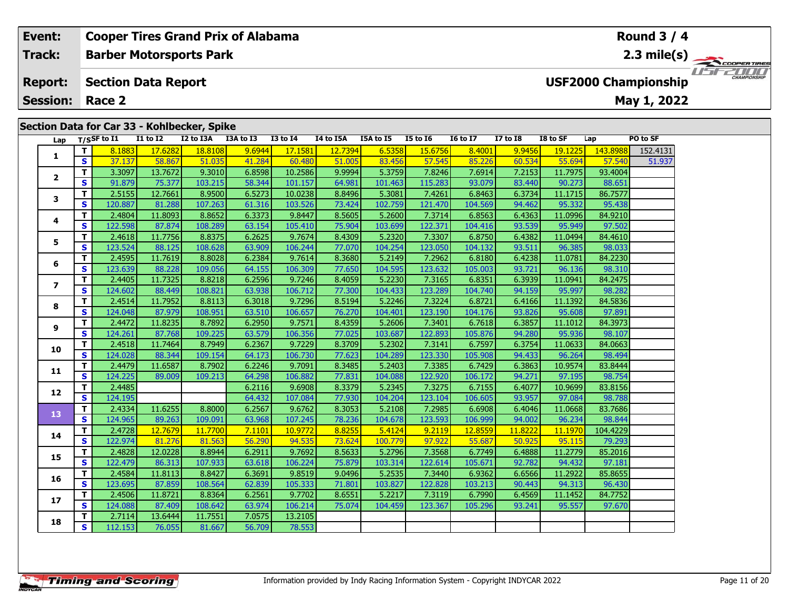| Event:          |        |             |                            | <b>Cooper Tires Grand Prix of Alabama</b>   |            |          |                  |           |                 |                 |                 |          |                 | Round $3/4$                 |                     |
|-----------------|--------|-------------|----------------------------|---------------------------------------------|------------|----------|------------------|-----------|-----------------|-----------------|-----------------|----------|-----------------|-----------------------------|---------------------|
| Track:          |        |             |                            | <b>Barber Motorsports Park</b>              |            |          |                  |           |                 |                 |                 |          |                 | $2.3$ mile(s)               | COOPERTIRE          |
| <b>Report:</b>  |        |             | <b>Section Data Report</b> |                                             |            |          |                  |           |                 |                 |                 |          |                 | <b>USF2000 Championship</b> | <b>CHAMPIONSHIP</b> |
| <b>Session:</b> |        | Race 2      |                            |                                             |            |          |                  |           |                 |                 |                 |          |                 | May 1, 2022                 |                     |
|                 |        |             |                            |                                             |            |          |                  |           |                 |                 |                 |          |                 |                             |                     |
|                 |        |             |                            | Section Data for Car 33 - Kohlbecker, Spike |            |          |                  |           |                 |                 |                 |          |                 |                             |                     |
| Lap             |        | T/SSF to I1 | <b>I1 to I2</b>            | I2 to I3A                                   | I3A to I3  | I3 to I4 | <b>I4 to I5A</b> | I5A to I5 | <b>I5 to I6</b> | <b>16 to 17</b> | <b>I7 to I8</b> | I8 to SF | Lap             | PO to SF                    |                     |
|                 |        | 8.1883      | 17.6282                    | 18.8108                                     | 9.6944     | 17.1581  | 12.7394          | 6.5358    | <b>15.6756</b>  | 8.4001          | 9.9456          | 19.1225  | 143.8988        | 152.4131                    |                     |
|                 | S.     | 37.137      | 58.867                     | 51.035                                      | 41.284     | 60.480   | 51.005           | 83.456    | 57.545          | 85.226          | 60.534          | 55.694   | 57.540          | 51.937                      |                     |
|                 |        | 3.3097      | 13.7672 <b>1</b>           | 9.3010                                      | 6.8598     | 10.2586  | 9.9994           | 5.3759    | 7.8246          | 7.6914          | 7.2153          | 11.7975  | 93.4004         |                             |                     |
|                 | $\sim$ | 01.070      | וכרפ חד                    | 102.211                                     | <b>COO</b> | 101177   | CADO1            | 101122    | 11500           | no non l        | 02.4401         | 00.222   | $00 \text{ cm}$ |                             |                     |

|                         | Т            | 3.3097  | 13.7672 | 9.3010  | 6.8598 | 10.2586 | 9.9994 | 5.3759  | 7.8246  | 7.6914  | 7.2153  | 11.7975 | 93.4004  |  |
|-------------------------|--------------|---------|---------|---------|--------|---------|--------|---------|---------|---------|---------|---------|----------|--|
| 2                       | $\mathbf{s}$ | 91.879  | 75.377  | 103.215 | 58.344 | 101.157 | 64.981 | 101.463 | 115.283 | 93.079  | 83.440  | 90.273  | 88.651   |  |
| 3                       | Т            | 2.5155  | 12.7661 | 8.9500  | 6.5273 | 10.0238 | 8.8496 | 5.3081  | 7.4261  | 6.8463  | 6.3734  | 11.1715 | 86.7577  |  |
|                         | $\mathbf{s}$ | 120.887 | 81.288  | 107.263 | 61.316 | 103.526 | 73.424 | 102.759 | 121.470 | 104.569 | 94.462  | 95.332  | 95.438   |  |
| 4                       | T            | 2.4804  | 11.8093 | 8.8652  | 6.3373 | 9.8447  | 8.5605 | 5.2600  | 7.3714  | 6.8563  | 6.4363  | 11.0996 | 84.9210  |  |
|                         | $\mathbf{s}$ | 122.598 | 87.874  | 108.289 | 63.154 | 105.410 | 75.904 | 103.699 | 122.371 | 104.416 | 93.539  | 95.949  | 97.502   |  |
| 5                       | T            | 2.4618  | 11.7756 | 8.8375  | 6.2625 | 9.7674  | 8.4309 | 5.2320  | 7.3307  | 6.8750  | 6.4382  | 11.0494 | 84.4610  |  |
|                         | $\mathbf{s}$ | 123.524 | 88.125  | 108.628 | 63.909 | 106.244 | 77.070 | 104.254 | 123.050 | 104.132 | 93.511  | 96.385  | 98.033   |  |
| 6                       | T            | 2.4595  | 11.7619 | 8.8028  | 6.2384 | 9.7614  | 8.3680 | 5.2149  | 7.2962  | 6.8180  | 6.4238  | 11.0781 | 84.2230  |  |
|                         | $\mathbf{s}$ | 123.639 | 88.228  | 109.056 | 64.155 | 106.309 | 77.650 | 104.595 | 123.632 | 105.003 | 93.721  | 96.136  | 98.310   |  |
| $\overline{\mathbf{z}}$ | T            | 2.4405  | 11.7325 | 8.8218  | 6.2596 | 9.7246  | 8.4059 | 5.2230  | 7.3165  | 6.8351  | 6.3939  | 11.0941 | 84.2475  |  |
|                         | S            | 124.602 | 88.449  | 108.821 | 63.938 | 106.712 | 77.300 | 104.433 | 123.289 | 104.740 | 94.159  | 95.997  | 98.282   |  |
| 8                       | T            | 2.4514  | 11.7952 | 8.8113  | 6.3018 | 9.7296  | 8.5194 | 5.2246  | 7.3224  | 6.8721  | 6.4166  | 11.1392 | 84.5836  |  |
|                         | $\mathbf{s}$ | 124.048 | 87.979  | 108.951 | 63.510 | 106.657 | 76.270 | 104.401 | 123.190 | 104.176 | 93.826  | 95.608  | 97.891   |  |
| 9                       | T            | 2.4472  | 11.8235 | 8.7892  | 6.2950 | 9.7571  | 8.4359 | 5.2606  | 7.3401  | 6.7618  | 6.3857  | 11.1012 | 84.3973  |  |
|                         | $\mathbf{s}$ | 124.261 | 87.768  | 109.225 | 63.579 | 106.356 | 77.025 | 103.687 | 122.893 | 105.876 | 94.280  | 95.936  | 98.107   |  |
| 10                      | $\mathbf{T}$ | 2.4518  | 11.7464 | 8.7949  | 6.2367 | 9.7229  | 8.3709 | 5.2302  | 7.3141  | 6.7597  | 6.3754  | 11.0633 | 84.0663  |  |
|                         | $\mathbf{s}$ | 124.028 | 88.344  | 109.154 | 64.173 | 106.730 | 77.623 | 104.289 | 123.330 | 105.908 | 94.433  | 96.264  | 98.494   |  |
| 11                      | Т            | 2.4479  | 11.6587 | 8.7902  | 6.2246 | 9.7091  | 8.3485 | 5.2403  | 7.3385  | 6.7429  | 6.3863  | 10.9574 | 83.8444  |  |
|                         | $\mathbf{s}$ | 124.225 | 89.009  | 109.213 | 64.298 | 106.882 | 77.831 | 104.088 | 122.920 | 106.172 | 94.271  | 97.195  | 98.754   |  |
| 12                      | T            | 2.4485  |         |         | 6.2116 | 9.6908  | 8.3379 | 5.2345  | 7.3275  | 6.7155  | 6.4077  | 10.9699 | 83.8156  |  |
|                         | S            | 124.195 |         |         | 64.432 | 107.084 | 77.930 | 104.204 | 123.104 | 106.605 | 93.957  | 97.084  | 98.788   |  |
| 13                      | $\mathbf{T}$ | 2.4334  | 11.6255 | 8.8000  | 6.2567 | 9.6762  | 8.3053 | 5.2108  | 7.2985  | 6.6908  | 6.4046  | 11.0668 | 83.7686  |  |
|                         | $\mathbf{s}$ | 124.965 | 89.263  | 109.091 | 63.968 | 107.245 | 78.236 | 104.678 | 123.593 | 106.999 | 94.002  | 96.234  | 98.844   |  |
| 14                      | $\mathbf T$  | 2.4728  | 12.7679 | 11.7700 | 7.1101 | 10.9772 | 8.8255 | 5.4124  | 9.2119  | 12.8559 | 11.8222 | 11.1970 | 104.4229 |  |
|                         | $\mathbf{s}$ | 122.974 | 81.276  | 81.563  | 56.290 | 94.535  | 73.624 | 100.779 | 97.922  | 55.687  | 50.925  | 95.115  | 79.293   |  |
| 15                      | T            | 2.4828  | 12.0228 | 8.8944  | 6.2911 | 9.7692  | 8.5633 | 5.2796  | 7.3568  | 6.7749  | 6.4888  | 11.2779 | 85.2016  |  |
|                         | $\mathbf{s}$ | 122.479 | 86.313  | 107.933 | 63.618 | 106.224 | 75.879 | 103.314 | 122.614 | 105.671 | 92.782  | 94.432  | 97.181   |  |
| 16                      | T            | 2.4584  | 11.8113 | 8.8427  | 6.3691 | 9.8519  | 9.0496 | 5.2535  | 7.3440  | 6.9362  | 6.6566  | 11.2922 | 85.8655  |  |
|                         | $\mathbf{s}$ | 123.695 | 87.859  | 108.564 | 62.839 | 105.333 | 71.801 | 103.827 | 122.828 | 103.213 | 90.443  | 94.313  | 96.430   |  |
| 17                      | T            | 2.4506  | 11.8721 | 8.8364  | 6.2561 | 9.7702  | 8.6551 | 5.2217  | 7.3119  | 6.7990  | 6.4569  | 11.1452 | 84.7752  |  |
|                         | $\mathbf{s}$ | 124.088 | 87.409  | 108.642 | 63.974 | 106.214 | 75.074 | 104.459 | 123.367 | 105.296 | 93.241  | 95.557  | 97.670   |  |
| 18                      | Т            | 2.7114  | 13.6444 | 11.7551 | 7.0575 | 13.2105 |        |         |         |         |         |         |          |  |
|                         | $\mathbf{s}$ | 112.153 | 76.055  | 81.667  | 56.709 | 78.553  |        |         |         |         |         |         |          |  |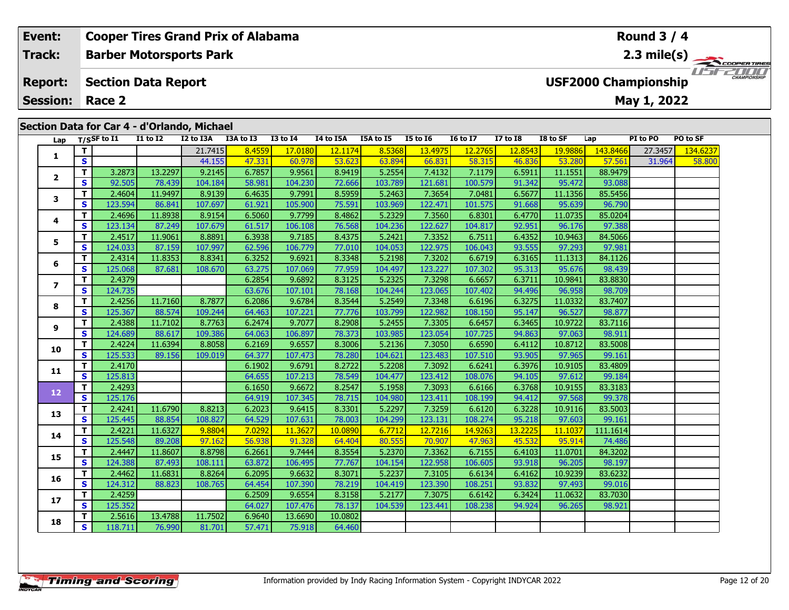| Event:          |     |                            |                 | <b>Cooper Tires Grand Prix of Alabama</b>   |           |                 |           |               | <b>Round 3 / 4</b> |                 |                |                       |          |                             |          |               |  |  |
|-----------------|-----|----------------------------|-----------------|---------------------------------------------|-----------|-----------------|-----------|---------------|--------------------|-----------------|----------------|-----------------------|----------|-----------------------------|----------|---------------|--|--|
| Track:          |     |                            |                 | <b>Barber Motorsports Park</b>              |           |                 |           |               |                    |                 |                | $2.3 \text{ mile(s)}$ |          |                             |          |               |  |  |
| <b>Report:</b>  |     | <b>Section Data Report</b> |                 |                                             |           |                 |           |               |                    |                 |                |                       |          | <b>USF2000 Championship</b> |          | $\frac{1}{1}$ |  |  |
| <b>Session:</b> |     | Race 2                     |                 |                                             |           |                 |           |               |                    |                 |                |                       |          | May 1, 2022                 |          |               |  |  |
|                 |     |                            |                 |                                             |           |                 |           |               |                    |                 |                |                       |          |                             |          |               |  |  |
|                 |     |                            |                 | Section Data for Car 4 - d'Orlando, Michael |           |                 |           |               |                    |                 |                |                       |          |                             |          |               |  |  |
| Lap             |     | $T/S$ SF to I1             | <b>I1 to I2</b> | I2 to I3A                                   | I3A to I3 | <b>I3 to I4</b> | I4 to I5A | I5A to I5     | <b>I5 to 16</b>    | <b>16 to 17</b> | $I7$ to $I8$   | I8 to SF              | Lap      | PI to PO                    | PO to SF |               |  |  |
|                 |     |                            |                 | 21.7415                                     | 8.4559    | 17.0180         | 12.1174   | 8.5368        | 13.4975            | 12.2765         | <b>12.8543</b> | 19.9886               | 143.8466 | 27.3457                     | 134.6237 |               |  |  |
|                 | S   |                            |                 | 44.155                                      | 47.331    | 60.978          | 53.623    | 63.894        | 66.831             | 58.315          | 46.836         | 53.280                | 57.561   | 31.964                      | 58.800   |               |  |  |
| $\overline{2}$  |     | 3.2873                     | 13.2297         | 9.2145                                      | 6.7857    | 9.9561          | 8.9419    | 5.2554        | 7.4132             | 7.1179          | 6.5911         | 11.1551               | 88.9479  |                             |          |               |  |  |
|                 | S   | 92.505                     | 78.439          | 104.184                                     | 58.981    | 104.230         | 72.666    | 103.789       | 121.681            | 100.579         | 91.342         | 95.472                | 93.088   |                             |          |               |  |  |
|                 | т I | 2.4504                     | 110407          | 0.01201                                     | $C$ $AC$  | n zoos L        | o cocol   | <b>EDACOL</b> | 72001              | 7001            | $C$ $C$ $T$    | 11125c                | OF FAFE  |                             |          |               |  |  |

|                | T. |         |         | 21.7415 | 8.4559 | 17.0180 | 12.1174 | 8.5368  | 13.4975 | 12,2765 | 12.8543 | 19.9886 | 143.8466 | 27.3457 | 134.6237 |
|----------------|----|---------|---------|---------|--------|---------|---------|---------|---------|---------|---------|---------|----------|---------|----------|
| 1              | S  |         |         | 44.155  | 47.331 | 60.978  | 53.623  | 63.894  | 66.831  | 58.315  | 46.836  | 53.280  | 57.561   | 31.964  | 58.800   |
| $\mathbf{2}$   | T. | 3.2873  | 13.2297 | 9.2145  | 6.7857 | 9.9561  | 8.9419  | 5.2554  | 7.4132  | 7.1179  | 6.5911  | 11.1551 | 88.9479  |         |          |
|                | S. | 92.505  | 78.439  | 104.184 | 58.981 | 104.230 | 72.666  | 103.789 | 121.681 | 100.579 | 91.342  | 95.472  | 93.088   |         |          |
| 3              | T. | 2.4604  | 11.9497 | 8.9139  | 6.4635 | 9.7991  | 8.5959  | 5.2463  | 7.3654  | 7.0481  | 6.5677  | 11.1356 | 85.5456  |         |          |
|                | S  | 123.594 | 86.841  | 107.697 | 61.921 | 105.900 | 75.591  | 103.969 | 122.471 | 101.575 | 91.668  | 95.639  | 96.790   |         |          |
| 4              | T. | 2.4696  | 11.8938 | 8.9154  | 6.5060 | 9.7799  | 8.4862  | 5.2329  | 7.3560  | 6.8301  | 6.4770  | 11.0735 | 85.0204  |         |          |
|                | S  | 123.134 | 87.249  | 107.679 | 61.517 | 106.108 | 76.568  | 104.236 | 122.627 | 104.817 | 92.951  | 96.176  | 97.388   |         |          |
| 5              | т  | 2.4517  | 11.9061 | 8.8891  | 6.3938 | 9.7185  | 8.4375  | 5.2421  | 7.3352  | 6.7511  | 6.4352  | 10.9463 | 84.5066  |         |          |
|                | S  | 124.033 | 87.159  | 107.997 | 62.596 | 106.779 | 77.010  | 104.053 | 122.975 | 106.043 | 93.555  | 97.293  | 97.981   |         |          |
| 6              | т  | 2.4314  | 11.8353 | 8.8341  | 6.3252 | 9.6921  | 8.3348  | 5.2198  | 7.3202  | 6.6719  | 6.3165  | 11.1313 | 84.1126  |         |          |
|                | S  | 125.068 | 87.681  | 108.670 | 63.275 | 107.069 | 77.959  | 104.497 | 123.227 | 107.302 | 95.313  | 95.676  | 98.439   |         |          |
| $\overline{ }$ | T. | 2.4379  |         |         | 6.2854 | 9.6892  | 8.3125  | 5.2325  | 7.3298  | 6.6657  | 6.3711  | 10.9841 | 83.8830  |         |          |
|                | S  | 124.735 |         |         | 63.676 | 107.101 | 78.168  | 104.244 | 123.065 | 107.402 | 94.496  | 96.958  | 98.709   |         |          |
| 8              | T. | 2.4256  | 11.7160 | 8.7877  | 6.2086 | 9.6784  | 8.3544  | 5.2549  | 7.3348  | 6.6196  | 6.3275  | 11.0332 | 83.7407  |         |          |
|                | S  | 125.367 | 88.574  | 109.244 | 64.463 | 107.221 | 77.776  | 103.799 | 122.982 | 108.150 | 95.147  | 96.527  | 98.877   |         |          |
| 9              | т  | 2.4388  | 11.7102 | 8.7763  | 6.2474 | 9.7077  | 8.2908  | 5.2455  | 7.3305  | 6.6457  | 6.3465  | 10.9722 | 83.7116  |         |          |
|                | S  | 124.689 | 88.617  | 109.386 | 64.063 | 106.897 | 78.373  | 103.985 | 123.054 | 107.725 | 94.863  | 97.063  | 98.911   |         |          |
| 10             | T. | 2.4224  | 11.6394 | 8.8058  | 6.2169 | 9.6557  | 8.3006  | 5.2136  | 7.3050  | 6.6590  | 6.4112  | 10.8712 | 83.5008  |         |          |
|                | S  | 125.533 | 89.156  | 109.019 | 64.377 | 107.473 | 78.280  | 104.621 | 123.483 | 107.510 | 93.905  | 97.965  | 99.161   |         |          |
| 11             | T. | 2.4170  |         |         | 6.1902 | 9.6791  | 8.2722  | 5.2208  | 7.3092  | 6.6241  | 6.3976  | 10.9105 | 83.4809  |         |          |
|                | S  | 125.813 |         |         | 64.655 | 107.213 | 78.549  | 104.477 | 123.412 | 108.076 | 94.105  | 97.612  | 99.184   |         |          |
| 12             | Τ. | 2.4293  |         |         | 6.1650 | 9.6672  | 8.2547  | 5.1958  | 7.3093  | 6.6166  | 6.3768  | 10.9155 | 83.3183  |         |          |
|                | S  | 125.176 |         |         | 64.919 | 107.345 | 78.715  | 104.980 | 123.411 | 108.199 | 94.412  | 97.568  | 99.378   |         |          |
| 13             | т  | 2.4241  | 11.6790 | 8.8213  | 6.2023 | 9.6415  | 8.3301  | 5.2297  | 7.3259  | 6.6120  | 6.3228  | 10.9116 | 83.5003  |         |          |
|                | S  | 125.445 | 88.854  | 108.827 | 64.529 | 107.631 | 78.003  | 104.299 | 123.131 | 108.274 | 95.218  | 97.603  | 99.161   |         |          |
| 14             | T. | 2.4221  | 11.6327 | 9.8804  | 7.0292 | 11.3627 | 10.0890 | 6.7712  | 12.7216 | 14.9263 | 13.2225 | 11.1037 | 111.1614 |         |          |
|                | S  | 125.548 | 89.208  | 97.162  | 56.938 | 91.328  | 64.404  | 80.555  | 70.907  | 47.963  | 45.532  | 95.914  | 74.486   |         |          |
| 15             | T. | 2.4447  | 11.8607 | 8.8798  | 6.2661 | 9.7444  | 8.3554  | 5.2370  | 7.3362  | 6.7155  | 6.4103  | 11.0701 | 84.3202  |         |          |
|                | S  | 124.388 | 87.493  | 108.111 | 63.872 | 106.495 | 77.767  | 104.154 | 122.958 | 106.605 | 93.918  | 96.205  | 98.197   |         |          |
| 16             | T. | 2.4462  | 11.6831 | 8.8264  | 6.2095 | 9.6632  | 8.3071  | 5.2237  | 7.3105  | 6.6134  | 6.4162  | 10.9239 | 83.6232  |         |          |
|                | S  | 124.312 | 88.823  | 108.765 | 64.454 | 107.390 | 78.219  | 104.419 | 123.390 | 108.251 | 93.832  | 97.493  | 99.016   |         |          |
| 17             | T. | 2.4259  |         |         | 6.2509 | 9.6554  | 8.3158  | 5.2177  | 7.3075  | 6.6142  | 6.3424  | 11.0632 | 83.7030  |         |          |
|                | S  | 125.352 |         |         | 64.027 | 107.476 | 78.137  | 104.539 | 123.441 | 108.238 | 94.924  | 96.265  | 98.921   |         |          |
| 18             | T. | 2.5616  | 13.4788 | 11.7502 | 6.9640 | 13.6690 | 10.0802 |         |         |         |         |         |          |         |          |
|                | S. | 118.711 | 76.990  | 81.701  | 57.471 | 75.918  | 64.460  |         |         |         |         |         |          |         |          |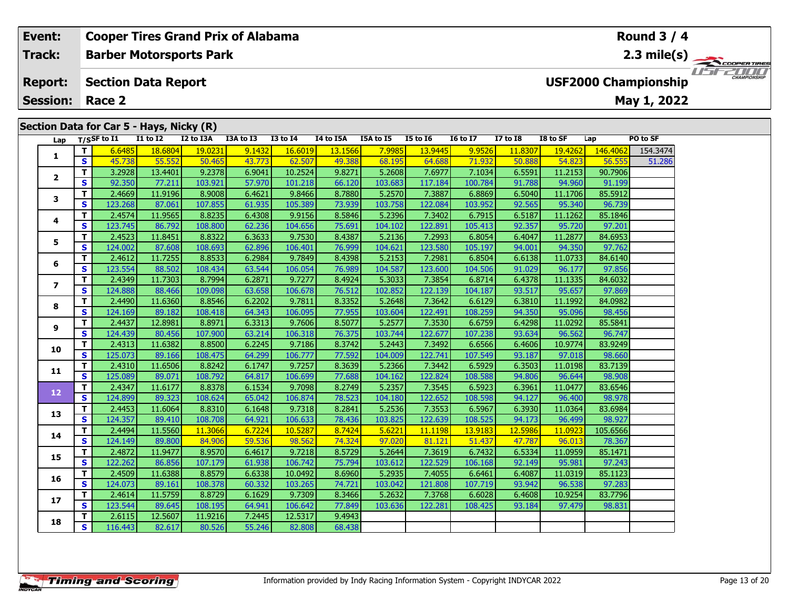# **Lap T/SSF to I1 I1 to I2 I2 to I3A I3A to I3 I3 to I4 I4 to I5A I5A to I5 I5 to I6 I6 to I7 I7 to I8 I8 to SF Lap PO to SF 1 <sup>T</sup>** 6.6485 18.6804 19.0231 9.1432 16.6019 13.1566 7.9985 13.9445 9.9526 11.8307 19.4262 146.4062 154.3474 **<sup>S</sup>** 45.738 55.552 50.465 43.773 62.507 49.388 68.195 64.688 71.932 50.888 54.823 56.555 51.286**2 <sup>T</sup>** 3.2928 13.4401 9.2378 6.9041 10.2524 9.8271 5.2608 7.6977 7.1034 6.5591 11.2153 90.7906 **<sup>S</sup>** 92.350 77.211 103.921 57.970 101.218 66.120 103.683 117.184 100.784 91.788 94.960 91.199**Section Data for Car 5 - Hays, Nicky (R) Barber Motorsports Park Section Data Report May 1, 2022 Event: Cooper Tires Grand Prix of Alabama Track: Report: Session: Race 2 USF2000 Championship** 2.3 mile(s)  **Round 3 / 4**

| Lap            |    | T/SSF to I1 | <b>I1 to I2</b> | I2 to I3A | I3A to I3 | <b>I3 to I4</b> | I4 to I5A | I5A to I5 | <b>I5 to 16</b> | <b>I6 to I7</b> | <b>I7 to I8</b> | I8 to SF | Lap      | PO to SF |
|----------------|----|-------------|-----------------|-----------|-----------|-----------------|-----------|-----------|-----------------|-----------------|-----------------|----------|----------|----------|
| 1              | T. | 6.6485      | 18.6804         | 19.0231   | 9.1432    | 16.6019         | 13.1566   | 7.9985    | 13.9445         | 9.9526          | 11.8307         | 19.4262  | 146.4062 | 154.3474 |
|                | S  | 45.738      | 55.552          | 50.465    | 43.773    | 62.507          | 49.388    | 68.195    | 64.688          | 71.932          | 50.888          | 54.823   | 56.555   | 51.286   |
| $\mathbf{2}$   | T. | 3.2928      | 13.4401         | 9.2378    | 6.9041    | 10.2524         | 9.8271    | 5.2608    | 7.6977          | 7.1034          | 6.5591          | 11.2153  | 90.7906  |          |
|                | S  | 92.350      | 77.211          | 103.921   | 57.970    | 101.218         | 66.120    | 103.683   | 117.184         | 100.784         | 91.788          | 94.960   | 91.199   |          |
| 3              | T. | 2.4669      | 11.9196         | 8.9008    | 6.4621    | 9.8466          | 8.7880    | 5.2570    | 7.3887          | 6.8869          | 6.5040          | 11.1706  | 85.5912  |          |
|                | S  | 123.268     | 87.061          | 107.855   | 61.935    | 105.389         | 73.939    | 103.758   | 122.084         | 103.952         | 92.565          | 95.340   | 96.739   |          |
| 4              | т  | 2.4574      | 11.9565         | 8.8235    | 6.4308    | 9.9156          | 8.5846    | 5.2396    | 7.3402          | 6.7915          | 6.5187          | 11.1262  | 85.1846  |          |
|                | S  | 123.745     | 86.792          | 108.800   | 62.236    | 104.656         | 75.691    | 104.102   | 122.891         | 105.413         | 92.357          | 95.720   | 97.201   |          |
| 5              | т  | 2.4523      | 11.8451         | 8.8322    | 6.3633    | 9.7530          | 8.4387    | 5.2136    | 7.2993          | 6.8054          | 6.4047          | 11.2877  | 84.6953  |          |
|                | S  | 124.002     | 87.608          | 108.693   | 62.896    | 106.401         | 76.999    | 104.621   | 123.580         | 105.197         | 94.001          | 94.350   | 97.762   |          |
| 6              | T. | 2.4612      | 11.7255         | 8.8533    | 6.2984    | 9.7849          | 8.4398    | 5.2153    | 7.2981          | 6.8504          | 6.6138          | 11.0733  | 84.6140  |          |
|                | S. | 123.554     | 88.502          | 108.434   | 63.544    | 106.054         | 76.989    | 104.587   | 123.600         | 104.506         | 91.029          | 96.177   | 97.856   |          |
| $\overline{ }$ | T. | 2.4349      | 11.7303         | 8.7994    | 6.2871    | 9.7277          | 8.4924    | 5.3033    | 7.3854          | 6.8714          | 6.4378          | 11.1335  | 84.6032  |          |
|                | S. | 124.888     | 88.466          | 109.098   | 63.658    | 106.678         | 76.512    | 102.852   | 122.139         | 104.187         | 93.517          | 95.657   | 97.869   |          |
| 8              | T. | 2.4490      | 11.6360         | 8.8546    | 6.2202    | 9.7811          | 8.3352    | 5.2648    | 7.3642          | 6.6129          | 6.3810          | 11.1992  | 84.0982  |          |
|                | S  | 124.169     | 89.182          | 108.418   | 64.343    | 106.095         | 77.955    | 103.604   | 122.491         | 108.259         | 94.350          | 95.096   | 98.456   |          |
| 9              | т  | 2.4437      | 12.8981         | 8.8971    | 6.3313    | 9.7606          | 8.5077    | 5.2577    | 7.3530          | 6.6759          | 6.4298          | 11.0292  | 85.5841  |          |
|                | S  | 124.439     | 80.456          | 107.900   | 63.214    | 106.318         | 76.375    | 103.744   | 122.677         | 107.238         | 93.634          | 96.562   | 96.747   |          |
| 10             | T. | 2.4313      | 11.6382         | 8.8500    | 6.2245    | 9.7186          | 8.3742    | 5.2443    | 7.3492          | 6.6566          | 6.4606          | 10.9774  | 83.9249  |          |
|                | S  | 125.073     | 89.166          | 108.475   | 64.299    | 106.777         | 77.592    | 104.009   | 122.741         | 107.549         | 93.187          | 97.018   | 98.660   |          |
| 11             | T. | 2.4310      | 11.6506         | 8.8242    | 6.1747    | 9.7257          | 8.3639    | 5.2366    | 7.3442          | 6.5929          | 6.3503          | 11.0198  | 83.7139  |          |
|                | S. | 125.089     | 89.071          | 108.792   | 64.817    | 106.699         | 77.688    | 104.162   | 122.824         | 108.588         | 94.806          | 96.644   | 98.908   |          |
| 12             | T. | 2.4347      | 11.6177         | 8.8378    | 6.1534    | 9.7098          | 8.2749    | 5.2357    | 7.3545          | 6.5923          | 6.3961          | 11.0477  | 83.6546  |          |
|                | S  | 124.899     | 89.323          | 108.624   | 65.042    | 106.874         | 78.523    | 104.180   | 122.652         | 108.598         | 94.127          | 96.400   | 98.978   |          |
| 13             | T. | 2.4453      | 11.6064         | 8.8310    | 6.1648    | 9.7318          | 8.2841    | 5.2536    | 7.3553          | 6.5967          | 6.3930          | 11.0364  | 83.6984  |          |
|                | S. | 124.357     | 89.410          | 108.708   | 64.921    | 106.633         | 78.436    | 103.825   | 122.639         | 108.525         | 94.173          | 96.499   | 98.927   |          |
| 14             | T. | 2.4494      | 11.5560         | 11.3066   | 6.7224    | 10.5287         | 8.7424    | 5.6221    | 11.1198         | 13.9183         | 12.5986         | 11.0923  | 105.6566 |          |
|                | S  | 124.149     | 89.800          | 84.906    | 59.536    | 98.562          | 74.324    | 97.020    | 81.121          | 51.437          | 47.787          | 96.013   | 78.367   |          |
| 15             | T. | 2.4872      | 11.9477         | 8.9570    | 6.4617    | 9.7218          | 8.5729    | 5.2644    | 7.3619          | 6.7432          | 6.5334          | 11.0959  | 85.1471  |          |
|                | S  | 122.262     | 86.856          | 107.179   | 61.938    | 106.742         | 75.794    | 103.612   | 122.529         | 106.168         | 92.149          | 95.981   | 97.243   |          |
| 16             | T. | 2.4509      | 11.6388         | 8.8579    | 6.6338    | 10.0492         | 8.6960    | 5.2935    | 7.4055          | 6.6461          | 6.4087          | 11.0319  | 85.1123  |          |
|                | S  | 124.073     | 89.161          | 108.378   | 60.332    | 103.265         | 74.721    | 103.042   | 121.808         | 107.719         | 93.942          | 96.538   | 97.283   |          |
| 17             | T. | 2.4614      | 11.5759         | 8.8729    | 6.1629    | 9.7309          | 8.3466    | 5.2632    | 7.3768          | 6.6028          | 6.4608          | 10.9254  | 83.7796  |          |
|                | S  | 123.544     | 89.645          | 108.195   | 64.941    | 106.642         | 77.849    | 103.636   | 122.281         | 108.425         | 93.184          | 97.479   | 98.831   |          |
| 18             | т  | 2.6115      | 12.5607         | 11.9216   | 7.2445    | 12.5317         | 9.4943    |           |                 |                 |                 |          |          |          |
|                | S. | 116.443     | 82.617          | 80.526    | 55.246    | 82.808          | 68.438    |           |                 |                 |                 |          |          |          |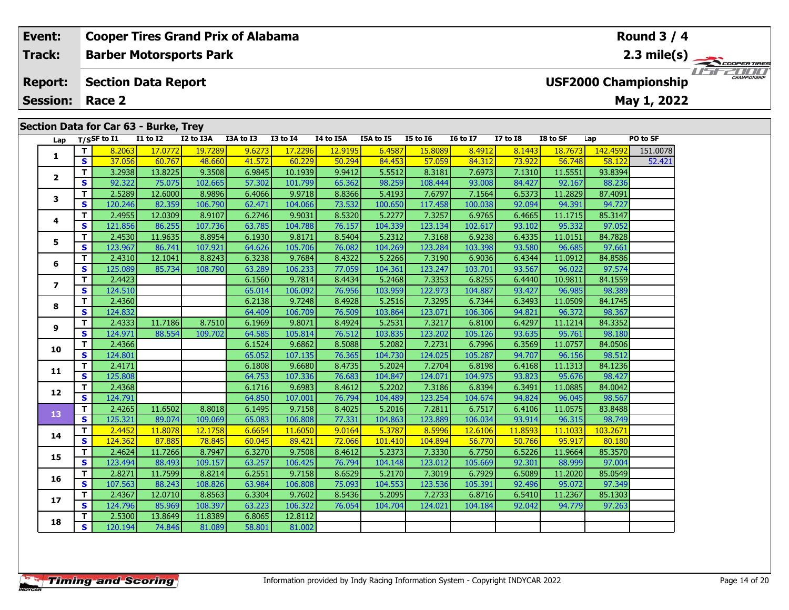#### **Event: Cooper Tires Grand Prix of Alabama Round 3 / 4Barber Motorsports Park 2.3 mile(s) Track:** THE COOPERTIRES **Section Data Report Report: USF2000 Championship May 1, 2022 Session: Race 2 Section Data for Car 63 - Burke, Trey Lap T/SSF to I1 I1 to I2 I2 to I3A I3A to I3 I3 to I4 I4 to I5A I5A to I5 I5 to I6 I6 to I7 I7 to I8 I8 to SF Lap PO to SF <sup>T</sup>** 8.2063 17.0772 19.7289 9.6273 17.2296 12.9195 6.4587 15.8089 8.4912 8.1443 18.7673 142.4592 151.0078 **<sup>S</sup>** 37.056 60.767 48.660 41.572 60.229 50.294 84.453 57.059 84.312 73.922 56.748 58.122 52.421**1 <sup>T</sup>** 3.2938 13.8225 9.3508 6.9845 10.1939 9.9412 5.5512 8.3181 7.6973 7.1310 11.5551 93.8394 **<sup>S</sup>** 92.322 75.075 102.665 57.302 101.799 65.362 98.259 108.444 93.008 84.427 92.167 88.236**2**

| Lap            |              | T/SSF to $I1$ | <b>I1 to I2</b> | I2 to I3A | I3A to I3 | <b>I3 to I4</b> | 14 to 15A | <b>I5A to I5</b> | <b>I5 to 16</b> | <b>16 to 17</b> | <b>I7 to I8</b> | I8 to SF | Lap      | PO to SF |
|----------------|--------------|---------------|-----------------|-----------|-----------|-----------------|-----------|------------------|-----------------|-----------------|-----------------|----------|----------|----------|
| 1              | Т            | 8.2063        | 17.0772         | 19.7289   | 9.6273    | 17.2296         | 12.9195   | 6.4587           | 15.8089         | 8.4912          | 8.1443          | 18.7673  | 142.4592 | 151.0078 |
|                | S            | 37.056        | 60.767          | 48.660    | 41.572    | 60.229          | 50.294    | 84.453           | 57.059          | 84.312          | 73.922          | 56.748   | 58.122   | 52.421   |
| $\mathbf{2}$   | т            | 3.2938        | 13.8225         | 9.3508    | 6.9845    | 10.1939         | 9.9412    | 5.5512           | 8.3181          | 7.6973          | 7.1310          | 11.5551  | 93.8394  |          |
|                | S            | 92.322        | 75.075          | 102.665   | 57.302    | 101.799         | 65.362    | 98.259           | 108.444         | 93.008          | 84.427          | 92.167   | 88.236   |          |
| 3              | T            | 2.5289        | 12.6000         | 8.9896    | 6.4066    | 9.9718          | 8.8366    | 5.4193           | 7.6797          | 7.1564          | 6.5373          | 11.2829  | 87.4091  |          |
|                | S            | 120.246       | 82.359          | 106.790   | 62.471    | 104.066         | 73.532    | 100.650          | 117.458         | 100.038         | 92.094          | 94.391   | 94.727   |          |
| 4              | T            | 2.4955        | 12.0309         | 8.9107    | 6.2746    | 9.9031          | 8.5320    | 5.2277           | 7.3257          | 6.9765          | 6.4665          | 11.1715  | 85.3147  |          |
|                | S            | 121.856       | 86.255          | 107.736   | 63.785    | 104.788         | 76.157    | 104.339          | 123.134         | 102.617         | 93.102          | 95.332   | 97.052   |          |
| 5              | т            | 2.4530        | 11.9635         | 8.8954    | 6.1930    | 9.8171          | 8.5404    | 5.2312           | 7.3168          | 6.9238          | 6.4335          | 11.0151  | 84.7828  |          |
|                | S            | 123.967       | 86.741          | 107.921   | 64.626    | 105.706         | 76.082    | 104.269          | 123.284         | 103.398         | 93.580          | 96.685   | 97.661   |          |
| 6              | т            | 2.4310        | 12.1041         | 8.8243    | 6.3238    | 9.7684          | 8.4322    | 5.2266           | 7.3190          | 6.9036          | 6.4344          | 11.0912  | 84.8586  |          |
|                | $\mathbf{s}$ | 125.089       | 85.734          | 108.790   | 63.289    | 106.233         | 77.059    | 104.361          | 123.247         | 103.701         | 93.567          | 96.022   | 97.574   |          |
| $\overline{ }$ | T            | 2.4423        |                 |           | 6.1560    | 9.7814          | 8.4434    | 5.2468           | 7.3353          | 6.8255          | 6.4440          | 10.9811  | 84.1559  |          |
|                | $\mathbf{s}$ | 124.510       |                 |           | 65.014    | 106.092         | 76.956    | 103.959          | 122.973         | 104.887         | 93.427          | 96.985   | 98.389   |          |
| 8              | т            | 2.4360        |                 |           | 6.2138    | 9.7248          | 8.4928    | 5.2516           | 7.3295          | 6.7344          | 6.3493          | 11.0509  | 84.1745  |          |
|                | S            | 124.832       |                 |           | 64.409    | 106.709         | 76.509    | 103.864          | 123.071         | 106.306         | 94.821          | 96.372   | 98.367   |          |
| 9              | т            | 2.4333        | 11.7186         | 8.7510    | 6.1969    | 9.8071          | 8.4924    | 5.2531           | 7.3217          | 6.8100          | 6.4297          | 11.1214  | 84.3352  |          |
|                | S            | 124.971       | 88.554          | 109.702   | 64.585    | 105.814         | 76.512    | 103.835          | 123.202         | 105.126         | 93.635          | 95.761   | 98.180   |          |
| 10             | T            | 2.4366        |                 |           | 6.1524    | 9.6862          | 8.5088    | 5.2082           | 7.2731          | 6.7996          | 6.3569          | 11.0757  | 84.0506  |          |
|                | S            | 124.801       |                 |           | 65.052    | 107.135         | 76.365    | 104.730          | 124.025         | 105.287         | 94.707          | 96.156   | 98.512   |          |
| 11             | т            | 2.4171        |                 |           | 6.1808    | 9.6680          | 8.4735    | 5.2024           | 7.2704          | 6.8198          | 6.4168          | 11.1313  | 84.1236  |          |
|                | S            | 125.808       |                 |           | 64.753    | 107.336         | 76.683    | 104.847          | 124.071         | 104.975         | 93.823          | 95.676   | 98.427   |          |
| 12             | T.           | 2.4368        |                 |           | 6.1716    | 9.6983          | 8.4612    | 5.2202           | 7.3186          | 6.8394          | 6.3491          | 11.0885  | 84.0042  |          |
|                | S            | 124.791       |                 |           | 64.850    | 107.001         | 76.794    | 104.489          | 123.254         | 104.674         | 94.824          | 96.045   | 98.567   |          |
| 13             | T.           | 2.4265        | 11.6502         | 8.8018    | 6.1495    | 9.7158          | 8.4025    | 5.2016           | 7.2811          | 6.7517          | 6.4106          | 11.0575  | 83.8488  |          |
|                | S            | 125.321       | 89.074          | 109.069   | 65.083    | 106.808         | 77.331    | 104.863          | 123.889         | 106.034         | 93.914          | 96.315   | 98.749   |          |
| 14             | T.           | 2.4452        | 11.8078         | 12.1758   | 6.6654    | 11.6050         | 9.0164    | 5.3787           | 8.5996          | 12.6106         | 11.8593         | 11.1033  | 103.2671 |          |
|                | $\mathbf{s}$ | 124.362       | 87.885          | 78.845    | 60.045    | 89.421          | 72.066    | 101.410          | 104.894         | 56.770          | 50.766          | 95.917   | 80.180   |          |
| 15             | T.           | 2.4624        | 11.7266         | 8.7947    | 6.3270    | 9.7508          | 8.4612    | 5.2373           | 7.3330          | 6.7750          | 6.5226          | 11.9664  | 85.3570  |          |
|                | $\mathbf{s}$ | 123.494       | 88.493          | 109.157   | 63.257    | 106.425         | 76.794    | 104.148          | 123.012         | 105.669         | 92.301          | 88.999   | 97.004   |          |
| 16             | T            | 2.8271        | 11.7599         | 8.8214    | 6.2551    | 9.7158          | 8.6529    | 5.2170           | 7.3019          | 6.7929          | 6.5089          | 11.2020  | 85.0549  |          |
|                | $\mathbf{s}$ | 107.563       | 88.243          | 108.826   | 63.984    | 106.808         | 75.093    | 104.553          | 123.536         | 105.391         | 92.496          | 95.072   | 97.349   |          |
| 17             | T.           | 2.4367        | 12.0710         | 8.8563    | 6.3304    | 9.7602          | 8.5436    | 5.2095           | 7.2733          | 6.8716          | 6.5410          | 11.2367  | 85.1303  |          |
|                | S            | 124.796       | 85.969          | 108.397   | 63.223    | 106.322         | 76.054    | 104.704          | 124.021         | 104.184         | 92.042          | 94.779   | 97.263   |          |
| 18             | T            | 2.5300        | 13.8649         | 11.8389   | 6.8065    | 12.8112         |           |                  |                 |                 |                 |          |          |          |
|                | S            | 120.194       | 74.846          | 81.089    | 58.801    | 81.002          |           |                  |                 |                 |                 |          |          |          |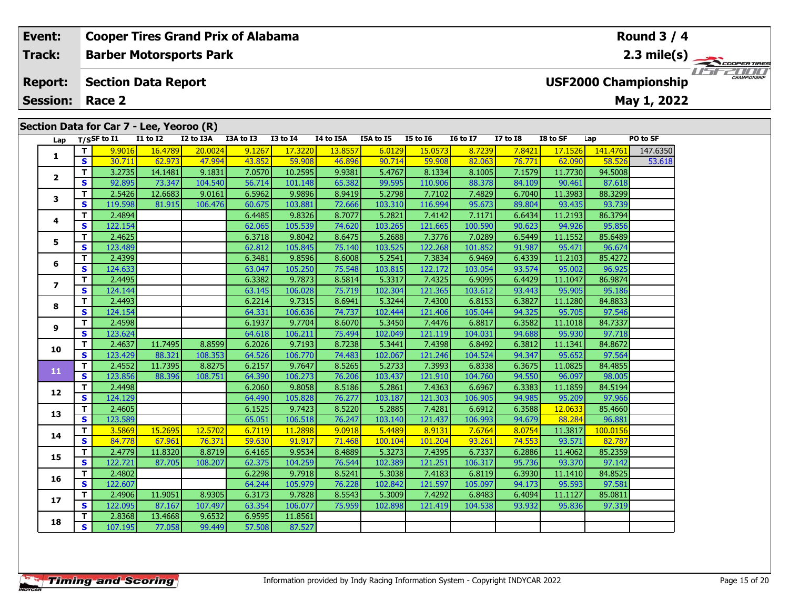# **Barber Motorsports Park Section Data Report Track:Report:**

**Cooper Tires Grand Prix of Alabama**

**Session:Race 2**

**Event:**

# **Lap T/SSF to I1 I1 to I2 I2 to I3A I3A to I3 I3 to I4 I4 to I5A I5A to I5 I5 to I6 I6 to I7 I7 to I8 I8 to SF Lap PO to SF 1 <sup>T</sup>** 9.9016 16.4789 20.0024 9.1267 17.3220 13.8557 6.0129 15.0573 8.7239 7.8421 17.1526 141.4761 147.6350 **<sup>S</sup>** 30.711 62.973 47.994 43.852 59.908 46.896 90.714 59.908 82.063 76.771 62.090 58.526 53.618**2 <sup>T</sup>** 3.2735 14.1481 9.1831 7.0570 10.2595 9.9381 5.4767 8.1334 8.1005 7.1579 11.7730 94.5008 **<sup>S</sup>** 92.895 73.347 104.540 56.714 101.148 65.382 99.595 110.906 88.378 84.109 90.461 87.618**3 <sup>T</sup>** 2.5426 12.6683 9.0161 6.5962 9.9896 8.9419 5.2798 7.7102 7.4829 6.7040 11.3983 88.3299 **<sup>S</sup>** 119.598 81.915 106.476 60.675 103.881 72.666 103.310 116.994 95.673 89.804 93.435 93.739**4 <sup>T</sup>** 2.4894 6.4485 9.8326 8.7077 5.2821 7.4142 7.1171 6.6434 11.2193 86.3794 **<sup>S</sup>** 122.154 62.065 105.539 74.620 103.265 121.665 100.590 90.623 94.926 95.856**5 <sup>T</sup>** 2.4625 6.3718 9.8042 8.6475 5.2688 7.3776 7.0289 6.5449 11.1552 85.6489 **<sup>S</sup>** 123.489 62.812 105.845 75.140 103.525 122.268 101.852 91.987 95.471 96.674**6 <sup>T</sup>** 2.4399 6.3481 9.8596 8.6008 5.2541 7.3834 6.9469 6.4339 11.2103 85.4272 **<sup>S</sup>** 124.633 63.047 105.250 75.548 103.815 122.172 103.054 93.574 95.002 96.925**7 <sup>T</sup>** 2.4495 6.3382 9.7873 8.5814 5.3317 7.4325 6.9095 6.4429 11.1047 86.9874 **<sup>S</sup>** 124.144 63.145 106.028 75.719 102.304 121.365 103.612 93.443 95.905 95.186**8 <sup>T</sup>** 2.4493 6.2214 9.7315 8.6941 5.3244 7.4300 6.8153 6.3827 11.1280 84.8833 **<sup>S</sup>** 124.154 64.331 106.636 74.737 102.444 121.406 105.044 94.325 95.705 97.546**9 <sup>T</sup>** 2.4598 6.1937 9.7704 8.6070 5.3450 7.4476 6.8817 6.3582 11.1018 84.7337 **<sup>S</sup>** 123.624 64.618 106.211 75.494 102.049 121.119 104.031 94.688 95.930 97.718**10 <sup>T</sup>** 2.4637 11.7495 8.8599 6.2026 9.7193 8.7238 5.3441 7.4398 6.8492 6.3812 11.1341 84.8672 **<sup>S</sup>** 123.429 88.321 108.353 64.526 106.770 74.483 102.067 121.246 104.524 94.347 95.652 97.564**11 <sup>T</sup>** 2.4552 11.7395 8.8275 6.2157 9.7647 8.5265 5.2733 7.3993 6.8338 6.3675 11.0825 84.4855 **<sup>S</sup>** 123.856 88.396 108.751 64.390 106.273 76.206 103.437 121.910 104.760 94.550 96.097 98.005**12 <sup>T</sup>** 2.4498 6.2060 9.8058 8.5186 5.2861 7.4363 6.6967 6.3383 11.1859 84.5194 **<sup>S</sup>** 124.129 64.490 105.828 76.277 103.187 121.303 106.905 94.985 95.209 97.966**13 <sup>T</sup>** 2.4605 6.1525 9.7423 8.5220 5.2885 7.4281 6.6912 6.3588 12.0633 85.4660 **<sup>S</sup>** 123.589 65.051 106.518 76.247 103.140 121.437 106.993 94.679 88.284 96.881**14 <sup>T</sup>** 3.5869 15.2695 12.5702 6.7119 11.2898 9.0918 5.4489 8.9131 7.6764 8.0754 11.3817 100.0156 **<sup>S</sup>** 84.778 67.961 76.371 59.630 91.917 71.468 100.104 101.204 93.261 74.553 93.571 82.787**15 <sup>T</sup>** 2.4779 11.8320 8.8719 6.4165 9.9534 8.4889 5.3273 7.4395 6.7337 6.2886 11.4062 85.2359 **<sup>S</sup>** 122.721 87.705 108.207 62.375 104.259 76.544 102.389 121.251 106.317 95.736 93.370 97.142**16 <sup>T</sup>** 2.4802 6.2298 9.7918 8.5241 5.3038 7.4183 6.8119 6.3930 11.1410 84.8525 **<sup>S</sup>** 122.607 64.244 105.979 76.228 102.842 121.597 105.097 94.173 95.593 97.581**17 <sup>T</sup>** 2.4906 11.9051 8.9305 6.3173 9.7828 8.5543 5.3009 7.4292 6.8483 6.4094 11.1127 85.0811 **<sup>S</sup>** 122.095 87.167 107.497 63.354 106.077 75.959 102.898 121.419 104.538 93.932 95.836 97.319**18<sup>T</sup>** 2.8368 13.4668 9.6532 6.9595 11.8561 **<sup>S</sup>** 107.195 77.058 99.449 57.508 87.527

# **Section Data for Car 7 - Lee, Yeoroo (R)**

# **Round 3 / 4**

**May 1, 2022**

**USF2000 Championship**

**2.3 mile(s)**

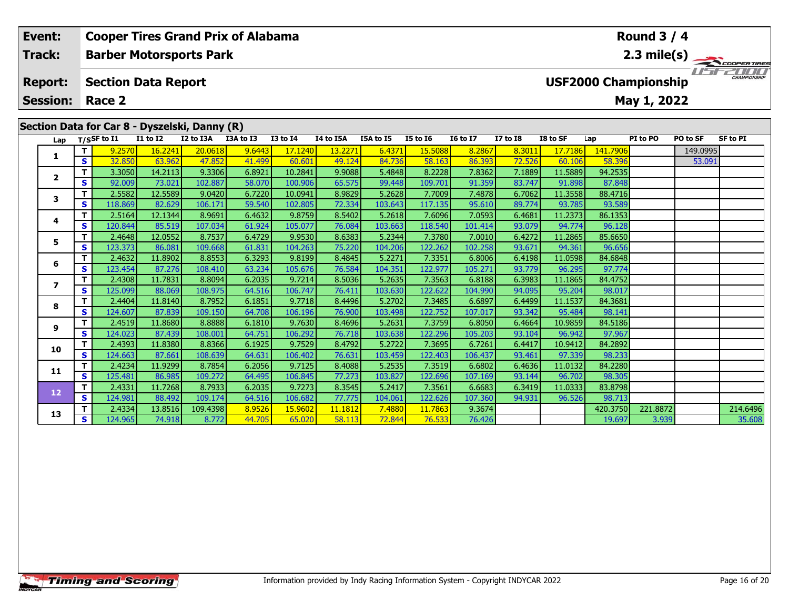| Event:          |          |                                                           |                 |                                               | <b>Cooper Tires Grand Prix of Alabama</b> |                 |           |                  |                 |                 |                 |          |          | Round $3/4$ |          |                     |  |
|-----------------|----------|-----------------------------------------------------------|-----------------|-----------------------------------------------|-------------------------------------------|-----------------|-----------|------------------|-----------------|-----------------|-----------------|----------|----------|-------------|----------|---------------------|--|
| <b>Track:</b>   |          | $2.3 \text{ mile(s)}$<br><b>Barber Motorsports Park</b>   |                 |                                               |                                           |                 |           |                  |                 |                 |                 |          |          |             |          |                     |  |
| <b>Report:</b>  |          | <b>USF2000 Championship</b><br><b>Section Data Report</b> |                 |                                               |                                           |                 |           |                  |                 |                 |                 |          |          |             |          | <b>CHAMPIONSHIP</b> |  |
| <b>Session:</b> |          | Race 2<br>May 1, 2022                                     |                 |                                               |                                           |                 |           |                  |                 |                 |                 |          |          |             |          |                     |  |
|                 |          |                                                           |                 |                                               |                                           |                 |           |                  |                 |                 |                 |          |          |             |          |                     |  |
|                 |          |                                                           |                 | Section Data for Car 8 - Dyszelski, Danny (R) |                                           |                 |           |                  |                 |                 |                 |          |          |             |          |                     |  |
| Lap             |          | T/SSF to I1                                               | <b>I1 to I2</b> | I2 to I3A                                     | I3A to I3                                 | <b>I3 to I4</b> | I4 to I5A | <b>I5A to I5</b> | <b>I5 to I6</b> | <b>16 to 17</b> | <b>I7 to I8</b> | I8 to SF | Lap      | PI to PO    | PO to SF | SF to PI            |  |
|                 |          | 9.2570                                                    | 16.2241         | 20.0618                                       | 9.6443                                    | 17.1240         | 13.2271   | 6.4371           | 15.5088         | 8.2867          | 8.3011          | 17.7186  | 141.7906 |             | 149.0995 |                     |  |
|                 | S.       | 32.850                                                    | 63.962          | 47.852                                        | 41.499                                    | 60.601          | 49.124    | 84.736           | 58.163          | 86.393          | 72.526          | 60.106   | 58,396   |             | 53.091   |                     |  |
|                 |          | 3.3050                                                    | 14.2113         | 9.3306                                        | 6.8921                                    | 10.2841         | 9.9088    | 5.4848           | 8.2228          | 7.8362          | 7.1889          | 11.5889  | 94.2535  |             |          |                     |  |
|                 | <b>S</b> | 92.009                                                    | 73.021          | 102.887                                       | 58.070                                    | 100.906         | 65.575    | 99.448           | 109.701         | 91.359          | 83.747          | 91.898   | 87.848   |             |          |                     |  |
|                 |          | 2.5582                                                    | 12.5589         | 9.0420                                        | 6.7220                                    | 10.0941         | 8.9829    | 5.2628           | 7.7009          | 7.4878          | 6.7062          | 11.3558  | 88.4716  |             |          |                     |  |
|                 | S.       | 118.869                                                   | 82.629          | 106.171                                       | 59.540                                    | 102.805         | 72.334    | 103.643          | 117.135         | 95.610          | 89.774          | 93.785   | 93.589   |             |          |                     |  |

# **4 <sup>T</sup>** 2.5164 12.1344 8.9691 6.4632 9.8759 8.5402 5.2618 7.6096 7.0593 6.4681 11.2373 86.1353 **<sup>S</sup>** 120.844 85.519 107.034 61.924 105.077 76.084 103.663 118.540 101.414 93.079 94.774 96.12896.12 **5 <sup>T</sup>** 2.4648 12.0552 8.7537 6.4729 9.9530 8.6383 5.2344 7.3780 7.0010 6.4272 11.2865 85.6650 **<sup>S</sup>** 123.373 86.081 109.668 61.831 104.263 75.220 104.206 122.262 102.258 93.671 94.361 96.656**6 <sup>T</sup>** 2.4632 11.8902 8.8553 6.3293 9.8199 8.4845 5.2271 7.3351 6.8006 6.4198 11.0598 84.6848 **<sup>S</sup>** 123.454 87.276 108.410 63.234 105.676 76.584 104.351 122.977 105.271 93.779 96.295 97.774**7 <sup>T</sup>** 2.4308 11.7831 8.8094 6.2035 9.7214 8.5036 5.2635 7.3563 6.8188 6.3983 11.1865 84.4752 **<sup>S</sup>** 125.099 88.069 108.975 64.516 106.747 76.411 103.630 122.622 104.990 94.095 95.204 98.017**8 <sup>T</sup>** 2.4404 11.8140 8.7952 6.1851 9.7718 8.4496 5.2702 7.3485 6.6897 6.4499 11.1537 84.3681 **<sup>S</sup>** 124.607 87.839 109.150 64.708 106.196 76.900 103.498 122.752 107.017 93.342 95.484 98.141**9 <sup>T</sup>** 2.4519 11.8680 8.8888 6.1810 9.7630 8.4696 5.2631 7.3759 6.8050 6.4664 10.9859 84.5186 **<sup>S</sup>** 124.023 87.439 108.001 64.751 106.292 76.718 103.638 122.296 105.203 93.104 96.942 97.96797.967 **10 <sup>T</sup>** 2.4393 11.8380 8.8366 6.1925 9.7529 8.4792 5.2722 7.3695 6.7261 6.4417 10.9412 84.2892 **<sup>S</sup>** 124.663 87.661 108.639 64.631 106.402 76.631 103.459 122.403 106.437 93.461 97.339 98.233**11 <sup>T</sup>** 2.4234 11.9299 8.7854 6.2056 9.7125 8.4088 5.2535 7.3519 6.6802 6.4636 11.0132 84.2280 **<sup>S</sup>** 125.481 86.985 109.272 64.495 106.845 77.273 103.827 122.696 107.169 93.144 96.702 98.305**12 <sup>T</sup>** 2.4331 11.7268 8.7933 6.2035 9.7273 8.3545 5.2417 7.3561 6.6683 6.3419 11.0333 83.8798 **<sup>S</sup>** 124.981 88.492 109.174 64.516 106.682 77.775 104.061 122.626 107.360 94.931 96.526 98.713**13<sup>T</sup>** 2.4334 13.8516 109.4398 8.9526 15.9602 11.1812 7.4880 11.7863 9.3674 420.3750 221.8872 214.6496 **<sup>S</sup>** 124.965 74.918 8.772 44.705 65.020 58.113 72.844 76.533 76.426 19.697 3.939 35.608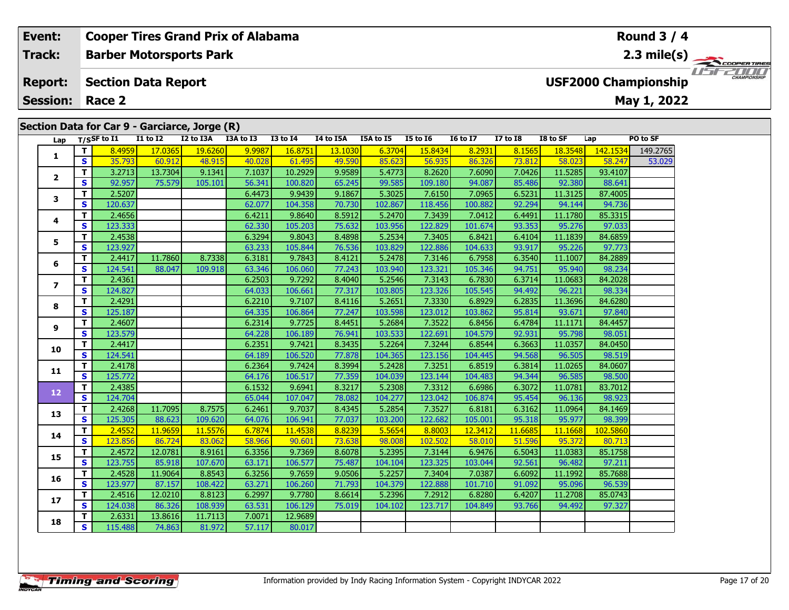#### **Cooper Tires Grand Prix of Alabama Event: Round 3 / 4Barber Motorsports Park Track:2.3 mile(s)** 11515211111 **Report: Section Data Report USF2000 Championship May 1, 2022 Session: Race 2Section Data for Car 9 - Garciarce, Jorge (R) Lap T/SSF to I1 I1 to I2 I2 to I3A I3A to I3 I3 to I4 I4 to I5A I5A to I5 I5 to I6 I6 to I7 I7 to I8 I8 to SF Lap PO to SF <sup>T</sup>** 8.4959 17.0365 19.6260 9.9987 16.8751 13.1030 6.3704 15.8434 8.2931 8.1565 18.3548 142.1534 149.2765 **<sup>S</sup>** 35.793 60.912 48.915 40.028 61.495 49.590 85.623 56.935 86.326 73.812 58.023 58.247 53.029**1**

**<sup>T</sup>** 3.2713 13.7304 9.1341 7.1037 10.2929 9.9589 5.4773 8.2620 7.6090 7.0426 11.5285 93.4107 **<sup>S</sup>** 92.957 75.579 105.101 56.341 100.820 65.245 99.585 109.180 94.087 85.486 92.380 88.641

**<sup>T</sup>** 2.5207 6.4473 9.9439 9.1867 5.3025 7.6150 7.0965 6.5231 11.3125 87.4005 **<sup>S</sup>** 120.637 62.077 104.358 70.730 102.867 118.456 100.882 92.294 94.144 94.736

**<sup>T</sup>** 2.4656 6.4211 9.8640 8.5912 5.2470 7.3439 7.0412 6.4491 11.1780 85.3315 **<sup>S</sup>** 123.333 62.330 105.203 75.632 103.956 122.829 101.674 93.353 95.276 97.033

**<sup>T</sup>** 2.4538 6.3294 9.8043 8.4898 5.2534 7.3405 6.8421 6.4104 11.1839 84.6859 **<sup>S</sup>** 123.927 63.233 105.844 76.536 103.829 122.886 104.633 93.917 95.226 97.773

**<sup>T</sup>** 2.4417 11.7860 8.7338 6.3181 9.7843 8.4121 5.2478 7.3146 6.7958 6.3540 11.1007 84.2889 **<sup>S</sup>** 124.541 88.047 109.918 63.346 106.060 77.243 103.940 123.321 105.346 94.751 95.940 98.234

**<sup>T</sup>** 2.4361 6.2503 9.7292 8.4040 5.2546 7.3143 6.7830 6.3714 11.0683 84.2028 **<sup>S</sup>** 124.827 64.033 106.661 77.317 103.805 123.326 105.545 94.492 96.221 98.334

**<sup>T</sup>** 2.4291 6.2210 9.7107 8.4116 5.2651 7.3330 6.8929 6.2835 11.3696 84.6280 **<sup>S</sup>** 125.187 64.335 106.864 77.247 103.598 123.012 103.862 95.814 93.671 97.840

**<sup>T</sup>** 2.4607 6.2314 9.7725 8.4451 5.2684 7.3522 6.8456 6.4784 11.1171 84.4457 **<sup>S</sup>** 123.579 64.228 106.189 76.941 103.533 122.691 104.579 92.931 95.798 98.051

**<sup>T</sup>** 2.4417 6.2351 9.7421 8.3435 5.2264 7.3244 6.8544 6.3663 11.0357 84.0450 **<sup>S</sup>** 124.541 64.189 106.520 77.878 104.365 123.156 104.445 94.568 96.505 98.519

**<sup>T</sup>** 2.4178 6.2364 9.7424 8.3994 5.2428 7.3251 6.8519 6.3814 11.0265 84.0607 **<sup>S</sup>** 125.772 64.176 106.517 77.359 104.039 123.144 104.483 94.344 96.585 98.500

**<sup>T</sup>** 2.4385 6.1532 9.6941 8.3217 5.2308 7.3312 6.6986 6.3072 11.0781 83.7012 **<sup>S</sup>** 124.704 65.044 107.047 78.082 104.277 123.042 106.874 95.454 96.136 98.923

**<sup>T</sup>** 2.4268 11.7095 8.7575 6.2461 9.7037 8.4345 5.2854 7.3527 6.8181 6.3162 11.0964 84.1469 **<sup>S</sup>** 125.305 88.623 109.620 64.076 106.941 77.037 103.200 122.682 105.001 95.318 95.977 98.399

**<sup>T</sup>** 2.4552 11.9659 11.5576 6.7874 11.4538 8.8239 5.5654 8.8003 12.3412 11.6685 11.1668 102.5860 **<sup>S</sup>** 123.856 86.724 83.062 58.966 90.601 73.638 98.008 102.502 58.010 51.596 95.372 80.713

**<sup>T</sup>** 2.4572 12.0781 8.9161 6.3356 9.7369 8.6078 5.2395 7.3144 6.9476 6.5043 11.0383 85.1758 **<sup>S</sup>** 123.755 85.918 107.670 63.171 106.577 75.487 104.104 123.325 103.044 92.561 96.482 97.211

**<sup>T</sup>** 2.4528 11.9064 8.8543 6.3256 9.7659 9.0506 5.2257 7.3404 7.0387 6.6092 11.1992 85.7688 **<sup>S</sup>** 123.977 87.157 108.422 63.271 106.260 71.793 104.379 122.888 101.710 91.092 95.096 96.539

**<sup>T</sup>** 2.4516 12.0210 8.8123 6.2997 9.7780 8.6614 5.2396 7.2912 6.8280 6.4207 11.2708 85.0743 **<sup>S</sup>** 124.038 86.326 108.939 63.531 106.129 75.019 104.102 123.717 104.849 93.766 94.492 97.327

**<sup>T</sup>** 2.6331 13.8616 11.7113 7.0071 12.9689 **<sup>S</sup>** 115.488 74.863 81.972 57.117 80.017

**2**

**3**

**4**

**5**

**6**

**7**

**8**

**9**

**10**

**11**

**12**

**13**

**14**

**15**

**16**

**17**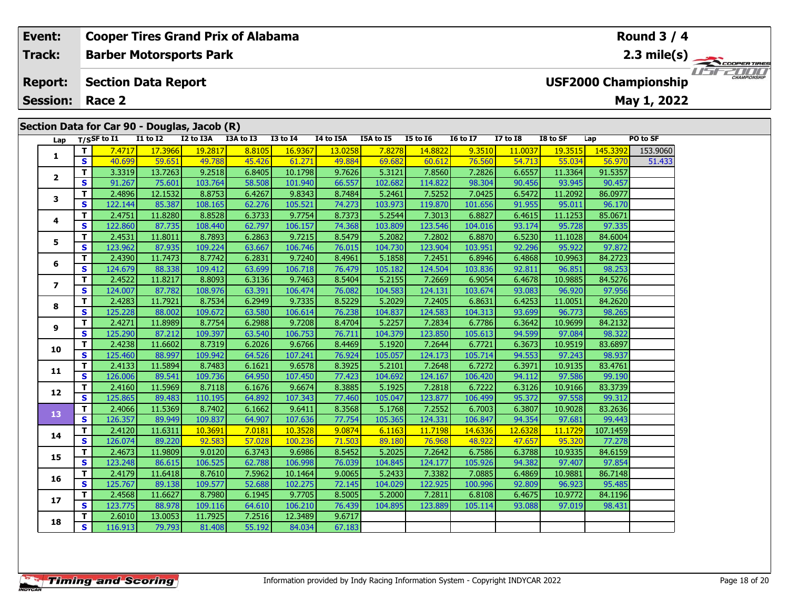## **Event: Cooper Tires Grand Prix of Alabama Round 3 / 4Track:Barber Motorsports Park 2.3 mile(s)** *IFFERINI* **Section Data Report Report: USF2000 Championship May 1, 2022 Session: Race 2 Section Data for Car 90 - Douglas, Jacob (R) Lap T/SSF to I1 I1 to I2 I2 to I3A I3A to I3 I3 to I4 I4 to I5A I5A to I5 I5 to I6 I6 to I7 I7 to I8 I8 to SF Lap PO to SF <sup>T</sup>** 7.4717 17.3966 19.2817 8.8105 16.9367 13.0258 7.8278 14.8822 9.3510 11.0037 19.3515 145.3392 153.9060 **<sup>S</sup>** 40.699 59.651 49.788 45.426 61.271 49.884 69.682 60.612 76.560 54.713 55.034 56.970 51.433**12**

| Τ.                       | S            | 40.699  | 59.651  | 49.788  | 45.426 | 61.271  | 49.884 | 69.682  | 60.612  | 76.560  | 54.713  | 55.034  | 56.970   | 51.433 |
|--------------------------|--------------|---------|---------|---------|--------|---------|--------|---------|---------|---------|---------|---------|----------|--------|
|                          | T.           | 3.3319  | 13.7263 | 9.2518  | 6.8405 | 10.1798 | 9.7626 | 5.3121  | 7.8560  | 7.2826  | 6.6557  | 11.3364 | 91.5357  |        |
| $\mathbf{2}$             | S            | 91.267  | 75.601  | 103.764 | 58.508 | 101.940 | 66.557 | 102.682 | 114.822 | 98.304  | 90.456  | 93.945  | 90.457   |        |
| 3                        | т            | 2.4896  | 12.1532 | 8.8753  | 6.4267 | 9.8343  | 8.7484 | 5.2461  | 7.5252  | 7.0425  | 6.5472  | 11.2092 | 86.0977  |        |
|                          | S.           | 122.144 | 85.387  | 108.165 | 62.276 | 105.521 | 74.273 | 103.973 | 119.870 | 101.656 | 91.955  | 95.011  | 96.170   |        |
| 4                        | T.           | 2.4751  | 11.8280 | 8.8528  | 6.3733 | 9.7754  | 8.7373 | 5.2544  | 7.3013  | 6.8827  | 6.4615  | 11.1253 | 85.0671  |        |
|                          | S            | 122.860 | 87.735  | 108.440 | 62.797 | 106.157 | 74.368 | 103.809 | 123.546 | 104.016 | 93.174  | 95.728  | 97.335   |        |
| 5                        | T.           | 2.4531  | 11.8011 | 8.7893  | 6.2863 | 9.7215  | 8.5479 | 5.2082  | 7.2802  | 6.8870  | 6.5230  | 11.1028 | 84.6004  |        |
|                          | S            | 123.962 | 87.935  | 109.224 | 63.667 | 106.746 | 76.015 | 104.730 | 123.904 | 103.951 | 92.296  | 95.922  | 97.872   |        |
| 6                        | т            | 2.4390  | 11.7473 | 8.7742  | 6.2831 | 9.7240  | 8.4961 | 5.1858  | 7.2451  | 6.8946  | 6.4868  | 10.9963 | 84.2723  |        |
|                          | S            | 124.679 | 88.338  | 109.412 | 63.699 | 106.718 | 76.479 | 105.182 | 124.504 | 103.836 | 92.811  | 96.851  | 98.253   |        |
| $\overline{\phantom{a}}$ | T.           | 2.4522  | 11.8217 | 8.8093  | 6.3136 | 9.7463  | 8.5404 | 5.2155  | 7.2669  | 6.9054  | 6.4678  | 10.9885 | 84.5276  |        |
|                          | S            | 124.007 | 87.782  | 108.976 | 63.391 | 106.474 | 76.082 | 104.583 | 124.131 | 103.674 | 93.083  | 96.920  | 97.956   |        |
| 8                        | т            | 2.4283  | 11.7921 | 8.7534  | 6.2949 | 9.7335  | 8.5229 | 5.2029  | 7.2405  | 6.8631  | 6.4253  | 11.0051 | 84.2620  |        |
|                          | S            | 125.228 | 88.002  | 109.672 | 63.580 | 106.614 | 76.238 | 104.837 | 124.583 | 104.313 | 93.699  | 96.773  | 98.265   |        |
| 9                        | T.           | 2.4271  | 11.8989 | 8.7754  | 6.2988 | 9.7208  | 8.4704 | 5.2257  | 7.2834  | 6.7786  | 6.3642  | 10.9699 | 84.2132  |        |
|                          | S            | 125.290 | 87.212  | 109.397 | 63.540 | 106.753 | 76.711 | 104.379 | 123.850 | 105.613 | 94.599  | 97.084  | 98.322   |        |
| 10                       | T.           | 2.4238  | 11.6602 | 8.7319  | 6.2026 | 9.6766  | 8.4469 | 5.1920  | 7.2644  | 6.7721  | 6.3673  | 10.9519 | 83.6897  |        |
|                          | S            | 125.460 | 88.997  | 109.942 | 64.526 | 107.241 | 76.924 | 105.057 | 124.173 | 105.714 | 94.553  | 97.243  | 98.937   |        |
| 11                       | т            | 2.4133  | 11.5894 | 8.7483  | 6.1621 | 9.6578  | 8.3925 | 5.2101  | 7.2648  | 6.7272  | 6.3971  | 10.9135 | 83.4761  |        |
|                          | S            | 126.006 | 89.541  | 109.736 | 64.950 | 107.450 | 77.423 | 104.692 | 124.167 | 106.420 | 94.112  | 97.586  | 99.190   |        |
| 12                       | T.           | 2.4160  | 11.5969 | 8.7118  | 6.1676 | 9.6674  | 8.3885 | 5.1925  | 7.2818  | 6.7222  | 6.3126  | 10.9166 | 83.3739  |        |
|                          | S.           | 125.865 | 89.483  | 110.195 | 64.892 | 107.343 | 77.460 | 105.047 | 123.877 | 106.499 | 95.372  | 97.558  | 99.312   |        |
| 13                       | T.           | 2.4066  | 11.5369 | 8.7402  | 6.1662 | 9.6411  | 8.3568 | 5.1768  | 7.2552  | 6.7003  | 6.3807  | 10.9028 | 83.2636  |        |
|                          | S            | 126.357 | 89.949  | 109.837 | 64.907 | 107.636 | 77.754 | 105.365 | 124.331 | 106.847 | 94.354  | 97.681  | 99.443   |        |
| 14                       | $\mathbf{T}$ | 2.4120  | 11.6311 | 10.3691 | 7.0181 | 10.3528 | 9.0874 | 6.1163  | 11.7198 | 14.6336 | 12.6328 | 11.1729 | 107.1459 |        |
|                          | S            | 126.074 | 89.220  | 92.583  | 57.028 | 100.236 | 71.503 | 89.180  | 76.968  | 48.922  | 47.657  | 95.320  | 77.278   |        |
| 15                       | т            | 2.4673  | 11.9809 | 9.0120  | 6.3743 | 9.6986  | 8.5452 | 5.2025  | 7.2642  | 6.7586  | 6.3788  | 10.9335 | 84.6159  |        |
|                          | S            | 123.248 | 86.615  | 106.525 | 62.788 | 106.998 | 76.039 | 104.845 | 124.177 | 105.926 | 94.382  | 97.407  | 97.854   |        |
| 16                       | T.           | 2.4179  | 11.6418 | 8.7610  | 7.5962 | 10.1464 | 9.0065 | 5.2433  | 7.3382  | 7.0885  | 6.4869  | 10.9881 | 86.7148  |        |
|                          | S            | 125.767 | 89.138  | 109.577 | 52.688 | 102.275 | 72.145 | 104.029 | 122.925 | 100.996 | 92.809  | 96.923  | 95.485   |        |
| 17                       | T.           | 2.4568  | 11.6627 | 8.7980  | 6.1945 | 9.7705  | 8.5005 | 5.2000  | 7.2811  | 6.8108  | 6.4675  | 10.9772 | 84.1196  |        |
|                          | S.           | 123.775 | 88.978  | 109.116 | 64.610 | 106.210 | 76.439 | 104.895 | 123.889 | 105.114 | 93.088  | 97.019  | 98.431   |        |
| 18                       | T.           | 2.6010  | 13.0053 | 11.7925 | 7.2516 | 12.3489 | 9.6717 |         |         |         |         |         |          |        |
|                          | S.           | 116.913 | 79.793  | 81.408  | 55.192 | 84.034  | 67.183 |         |         |         |         |         |          |        |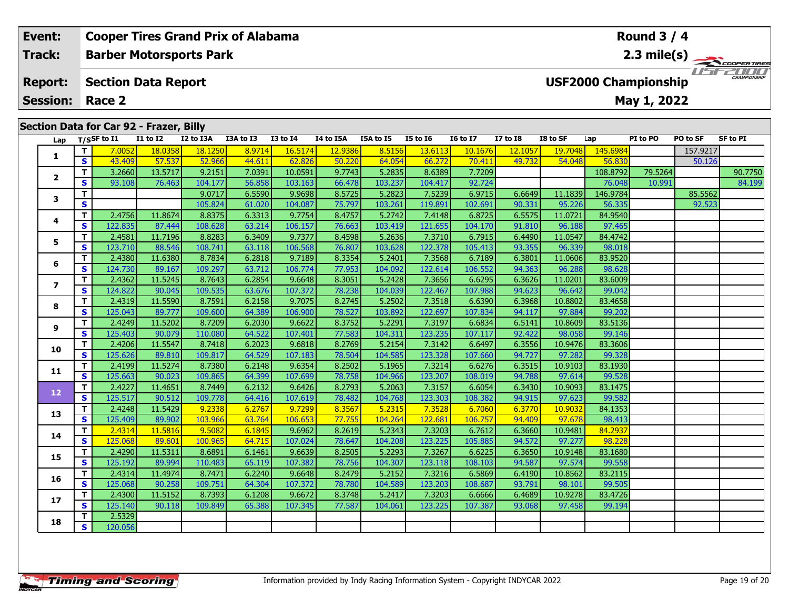## **Event: Cooper Tires Grand Prix of Alabama Round 3 / 4Track:Barber Motorsports Park 2.3 mile(s)** *IFFERING* **Section Data Report Report: USF2000 Championship May 1, 2022 Session: Race 2 Section Data for Car 92 - Frazer, Billy Lap T/SSF to I1 I1 to I2 I2 to I3A I3A to I3 I3 to I4 I4 to I5A I5A to I5 I5 to I6 I6 to I7 I7 to I8 I8 to SF Lap PI to PO PO to SF SF to PI T T** 7.0052 18.0358 18.1250 8.9714 16.5174 12.9386 8.5156 13.6113 10.1676 12.1057 19.7048 145.6984 157.9217 **12**

| 1              | S                            | 43.409            | 57.537            | 52.966            | 44.611           | 62.826            | 50.220           | 64.054            | 66.272            | 70.411            | 49.732           | 54.048            | 56.830            |         | 50.126  |         |
|----------------|------------------------------|-------------------|-------------------|-------------------|------------------|-------------------|------------------|-------------------|-------------------|-------------------|------------------|-------------------|-------------------|---------|---------|---------|
|                | T.                           | 3.2660            | 13.5717           | 9.2151            | 7.0391           | 10.0591           | 9.7743           | 5.2835            | 8.6389            | 7.7209            |                  |                   | 108.8792          | 79.5264 |         | 90.7750 |
| $\overline{2}$ | S                            | 93.108            | 76.463            | 104.177           | 56.858           | 103.163           | 66.478           | 103.237           | 104.417           | 92.724            |                  |                   | 76.048            | 10.991  |         | 84.199  |
|                | T                            |                   |                   | 9.0717            | 6.5590           | 9.9698            | 8.5725           | 5.2823            | 7.5239            | 6.9715            | 6.6649           | 11.1839           | 146.9784          |         | 85.5562 |         |
| 3              | $\mathbf{s}$                 |                   |                   | 105.824           | 61.020           | 104.087           | 75.797           | 103.261           | 119.891           | 102.691           | 90.331           | 95.226            | 56.335            |         | 92.523  |         |
| 4              | T.                           | 2.4756            | 11.8674           | 8.8375            | 6.3313           | 9.7754            | 8.4757           | 5.2742            | 7.4148            | 6.8725            | 6.5575           | 11.0721           | 84.9540           |         |         |         |
|                | $\mathbf{s}$                 | 122.835           | 87.444            | 108.628           | 63.214           | 106.157           | 76.663           | 103.419           | 121.655           | 104.170           | 91.810           | 96.188            | 97.465            |         |         |         |
| 5              | T.                           | 2.4581            | 11.7196           | 8.8283            | 6.3409           | 9.7377            | 8.4598           | 5.2636            | 7.3710            | 6.7915            | 6.4490           | 11.0547           | 84.4742           |         |         |         |
|                | S                            | 123.710           | 88.546            | 108.741           | 63.118           | 106.568           | 76.807           | 103.628           | 122.378           | 105.413           | 93.355           | 96.339            | 98.018            |         |         |         |
| 6              | T                            | 2.4380            | 11.6380           | 8.7834            | 6.2818           | 9.7189            | 8.3354           | 5.2401            | 7.3568            | 6.7189            | 6.3801           | 11.0606           | 83.9520           |         |         |         |
|                | $\mathbf{s}$                 | 124.730           | 89.167            | 109.297           | 63.712           | 106.774           | 77.953           | 104.092           | 122.614           | 106.552           | 94.363           | 96.288            | 98.628            |         |         |         |
| $\overline{ }$ | Т                            | 2.4362            | 11.5245           | 8.7643            | 6.2854           | 9.6648            | 8.3051           | 5.2428            | 7.3656            | 6.6295            | 6.3626           | 11.0201           | 83.6009           |         |         |         |
|                | $\mathbf{s}$                 | 124.822           | 90.045            | 109.535           | 63.676           | 107.372           | 78.238           | 104.039           | 122.467           | 107.988           | 94.623           | 96.642            | 99.042            |         |         |         |
| 8              | T.                           | 2.4319            | 11.5590           | 8.7591            | 6.2158           | 9.7075            | 8.2745           | 5.2502            | 7.3518            | 6.6390            | 6.3968           | 10.8802           | 83.4658           |         |         |         |
|                | <b>S</b><br>T.               | 125.043<br>2.4249 | 89.777<br>11.5202 | 109.600<br>8.7209 | 64.389<br>6.2030 | 106.900<br>9.6622 | 78.527<br>8.3752 | 103.892<br>5.2291 | 122.697<br>7.3197 | 107.834<br>6.6834 | 94.117<br>6.5141 | 97.884<br>10.8609 | 99.202<br>83.5136 |         |         |         |
| 9              | S                            | 125.403           | 90.079            | 110.080           | 64.522           | 107.401           | 77.583           | 104.311           | 123.235           | 107.117           | 92.422           | 98.058            | 99.146            |         |         |         |
|                | T                            | 2.4206            | 11.5547           | 8.7418            | 6.2023           | 9.6818            | 8.2769           | 5.2154            | 7.3142            | 6.6497            | 6.3556           | 10.9476           | 83.3606           |         |         |         |
| 10             | S                            | 125.626           | 89.810            | 109.817           | 64.529           | 107.183           | 78.504           | 104.585           | 123.328           | 107.660           | 94.727           | 97.282            | 99.328            |         |         |         |
|                | T                            | 2.4199            | 11.5274           | 8.7380            | 6.2148           | 9.6354            | 8.2502           | 5.1965            | 7.3214            | 6.6276            | 6.3515           | 10.9103           | 83.1930           |         |         |         |
| 11             | $\mathbf{s}$                 | 125.663           | 90.023            | 109.865           | 64.399           | 107.699           | 78.758           | 104.966           | 123.207           | 108.019           | 94.788           | 97.614            | 99.528            |         |         |         |
|                | $\mathbf{T}$                 | 2.4227            | 11.4651           | 8.7449            | 6.2132           | 9.6426            | 8.2793           | 5.2063            | 7.3157            | 6.6054            | 6.3430           | 10.9093           | 83.1475           |         |         |         |
| 12             | <b>S</b>                     | 125.517           | 90.512            | 109.778           | 64.416           | 107.619           | 78.482           | 104.768           | 123.303           | 108.382           | 94.915           | 97.623            | 99.582            |         |         |         |
| 13             | T.                           | 2.4248            | 11.5429           | 9.2338            | 6.2767           | 9.7299            | 8.3567           | 5.2315            | 7.3528            | 6.7060            | 6.3770           | 10.9032           | 84.1353           |         |         |         |
|                | $\mathbf{s}$                 | 125.409           | 89.902            | 103.966           | 63.764           | 106.653           | 77.755           | 104.264           | 122.681           | 106.757           | 94.409           | 97.678            | 98.413            |         |         |         |
| 14             | T.                           | 2.4314            | 11.5816           | 9.5082            | 6.1845           | 9.6962            | 8.2619           | 5.2343            | 7.3203            | 6.7612            | 6.3660           | 10.9481           | 84.2937           |         |         |         |
|                | S                            | 125.068           | 89.601            | 100.965           | 64.715           | 107.024           | 78.647           | 104.208           | 123.225           | 105.885           | 94.572           | 97.277            | 98.228            |         |         |         |
| 15             | T.                           | 2.4290            | 11.5311           | 8.6891            | 6.1461           | 9.6639            | 8.2505           | 5.2293            | 7.3267            | 6.6225            | 6.3650           | 10.9148           | 83.1680           |         |         |         |
|                | <b>S</b>                     | 125.192           | 89.994            | 110.483           | 65.119           | 107.382           | 78.756           | 104.307           | 123.118           | 108.103           | 94.587           | 97.574            | 99.558            |         |         |         |
| 16             | T.                           | 2.4314            | 11.4974           | 8.7471            | 6.2240           | 9.6648            | 8.2479           | 5.2152            | 7.3216            | 6.5869            | 6.4190           | 10.8562           | 83.2115           |         |         |         |
|                | <b>S</b>                     | 125.068           | 90.258            | 109.751           | 64.304           | 107.372           | 78.780           | 104.589           | 123.203           | 108.687           | 93.791           | 98.101            | 99.505            |         |         |         |
| 17             | T                            | 2.4300            | 11.5152           | 8.7393            | 6.1208           | 9.6672            | 8.3748           | 5.2417            | 7.3203            | 6.6666            | 6.4689           | 10.9278           | 83.4726           |         |         |         |
|                | <b>S</b>                     | 125.140<br>2.5329 | 90.118            | 109.849           | 65.388           | 107.345           | 77.587           | 104.061           | 123.225           | 107.387           | 93.068           | 97.458            | 99.194            |         |         |         |
| 18             | Т<br>$\overline{\mathbf{s}}$ | 120.056           |                   |                   |                  |                   |                  |                   |                   |                   |                  |                   |                   |         |         |         |
|                |                              |                   |                   |                   |                  |                   |                  |                   |                   |                   |                  |                   |                   |         |         |         |